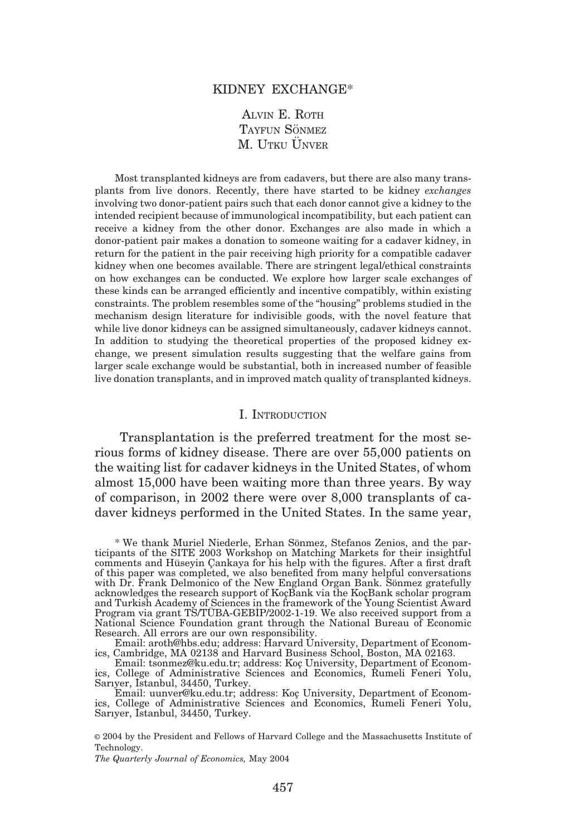### KIDNEY EXCHANGE\*

ALVIN E. ROTH TAYFUN SÖNMEZ M. UTKU ÜNVER

Most transplanted kidneys are from cadavers, but there are also many transplants from live donors. Recently, there have started to be kidney *exchanges* involving two donor-patient pairs such that each donor cannot give a kidney to the intended recipient because of immunological incompatibility, but each patient can receive a kidney from the other donor. Exchanges are also made in which a donor-patient pair makes a donation to someone waiting for a cadaver kidney, in return for the patient in the pair receiving high priority for a compatible cadaver kidney when one becomes available. There are stringent legal/ethical constraints on how exchanges can be conducted. We explore how larger scale exchanges of these kinds can be arranged efficiently and incentive compatibly, within existing constraints. The problem resembles some of the "housing" problems studied in the mechanism design literature for indivisible goods, with the novel feature that while live donor kidneys can be assigned simultaneously, cadaver kidneys cannot. In addition to studying the theoretical properties of the proposed kidney exchange, we present simulation results suggesting that the welfare gains from larger scale exchange would be substantial, both in increased number of feasible live donation transplants, and in improved match quality of transplanted kidneys.

#### I. INTRODUCTION

Transplantation is the preferred treatment for the most serious forms of kidney disease. There are over 55,000 patients on the waiting list for cadaver kidneys in the United States, of whom almost 15,000 have been waiting more than three years. By way of comparison, in 2002 there were over 8,000 transplants of cadaver kidneys performed in the United States. In the same year,

\* We thank Muriel Niederle, Erhan Sönmez, Stefanos Zenios, and the participants of the SITE 2003 Workshop on Matching Markets for their insightful comments and Hüseyin Çankaya for his help with the figures. After a first draft of this paper was completed, we also benefited from many helpful conversations with Dr. Frank Delmonico of the New England Organ Bank. Sönmez gratefully acknowledges the research support of KocBank via the KocBank scholar program and Turkish Academy of Sciences in the framework of the Young Scientist Award Program via grant TS/TUBA-GEBIP/2002-1-19. We also received support from a National Science Foundation grant through the National Bureau of Economic Research. All errors are our own responsibility.

Email: aroth@hbs.edu; address: Harvard University, Department of Economics, Cambridge, MA 02138 and Harvard Business School, Boston, MA 02163.

Email: tsonmez@ku.edu.tr; address: Koç University, Department of Economics, College of Administrative Sciences and Economics, Rumeli Feneri Yolu, Sarıyer, İstanbul, 34450, Turkey.

Email: uunver@ku.edu.tr; address: Koc¸ University, Department of Economics, College of Administrative Sciences and Economics, Rumeli Feneri Yolu, Sarıyer, İstanbul, 34450, Turkey.

© 2004 by the President and Fellows of Harvard College and the Massachusetts Institute of Technology.

*The Quarterly Journal of Economics,* May 2004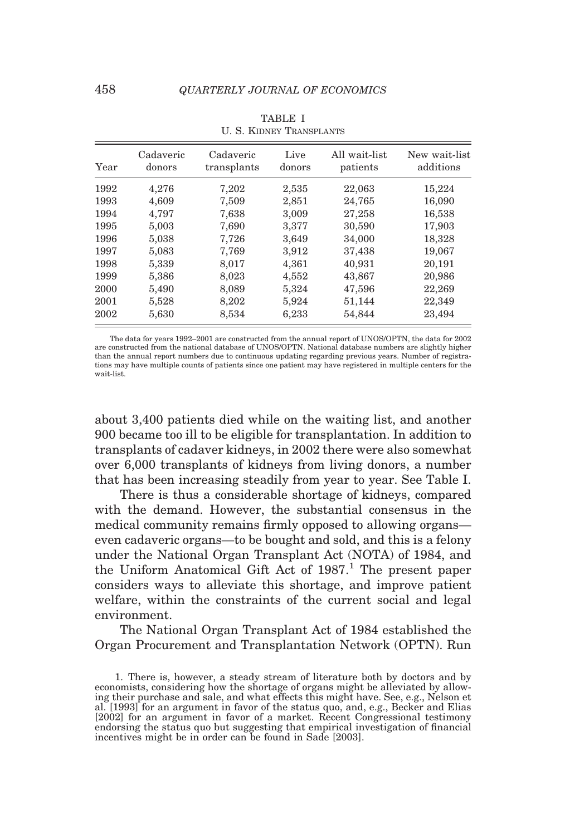| Year | Cadaveric<br>donors | Cadaveric<br>transplants | Live<br>donors | All wait-list<br>patients | New wait-list<br>additions |
|------|---------------------|--------------------------|----------------|---------------------------|----------------------------|
| 1992 | 4.276               | 7,202                    | 2,535          | 22,063                    | 15,224                     |
| 1993 | 4,609               | 7,509                    | 2,851          | 24,765                    | 16,090                     |
| 1994 | 4,797               | 7,638                    | 3,009          | 27,258                    | 16,538                     |
| 1995 | 5.003               | 7,690                    | 3,377          | 30,590                    | 17,903                     |
| 1996 | 5.038               | 7,726                    | 3,649          | 34,000                    | 18,328                     |
| 1997 | 5,083               | 7,769                    | 3,912          | 37,438                    | 19,067                     |
| 1998 | 5.339               | 8,017                    | 4,361          | 40,931                    | 20,191                     |
| 1999 | 5,386               | 8,023                    | 4,552          | 43,867                    | 20,986                     |
| 2000 | 5,490               | 8,089                    | 5,324          | 47,596                    | 22,269                     |
| 2001 | 5,528               | 8,202                    | 5,924          | 51,144                    | 22,349                     |
| 2002 | 5,630               | 8,534                    | 6,233          | 54.844                    | 23,494                     |

TABLE I U. S. KIDNEY TRANSPLANTS

The data for years 1992–2001 are constructed from the annual report of UNOS/OPTN, the data for 2002 are constructed from the national database of UNOS/OPTN. National database numbers are slightly higher than the annual report numbers due to continuous updating regarding previous years. Number of registrations may have multiple counts of patients since one patient may have registered in multiple centers for the wait-list.

about 3,400 patients died while on the waiting list, and another 900 became too ill to be eligible for transplantation. In addition to transplants of cadaver kidneys, in 2002 there were also somewhat over 6,000 transplants of kidneys from living donors, a number that has been increasing steadily from year to year. See Table I.

There is thus a considerable shortage of kidneys, compared with the demand. However, the substantial consensus in the medical community remains firmly opposed to allowing organs even cadaveric organs—to be bought and sold, and this is a felony under the National Organ Transplant Act (NOTA) of 1984, and the Uniform Anatomical Gift Act of 1987.<sup>1</sup> The present paper considers ways to alleviate this shortage, and improve patient welfare, within the constraints of the current social and legal environment.

The National Organ Transplant Act of 1984 established the Organ Procurement and Transplantation Network (OPTN). Run

<sup>1.</sup> There is, however, a steady stream of literature both by doctors and by economists, considering how the shortage of organs might be alleviated by allowing their purchase and sale, and what effects this might have. See, e.g., Nelson et al. [1993] for an argument in favor of the status quo, and, e.g., Becker and Elias [2002] for an argument in favor of a market. Recent Congressional testimony endorsing the status quo but suggesting that empirical investigation of financial incentives might be in order can be found in Sade [2003].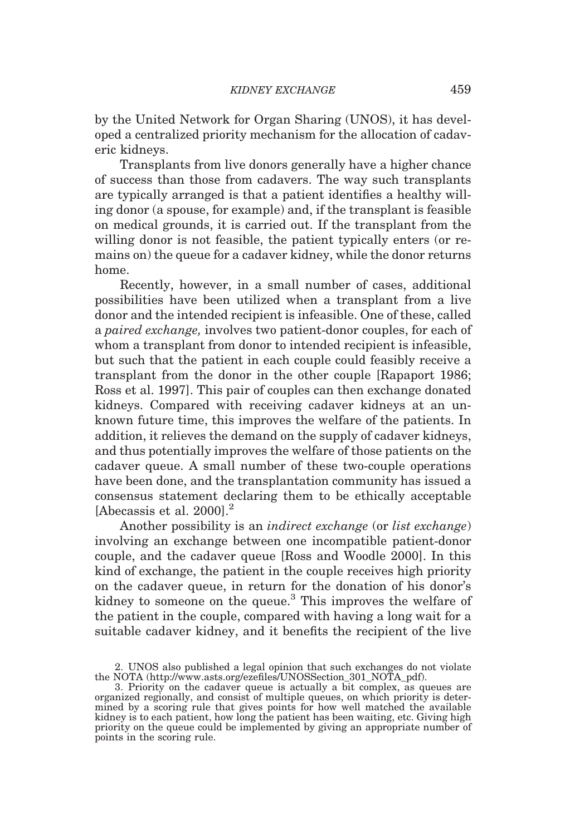by the United Network for Organ Sharing (UNOS), it has developed a centralized priority mechanism for the allocation of cadaveric kidneys.

Transplants from live donors generally have a higher chance of success than those from cadavers. The way such transplants are typically arranged is that a patient identifies a healthy willing donor (a spouse, for example) and, if the transplant is feasible on medical grounds, it is carried out. If the transplant from the willing donor is not feasible, the patient typically enters (or remains on) the queue for a cadaver kidney, while the donor returns home.

Recently, however, in a small number of cases, additional possibilities have been utilized when a transplant from a live donor and the intended recipient is infeasible. One of these, called a *paired exchange,* involves two patient-donor couples, for each of whom a transplant from donor to intended recipient is infeasible, but such that the patient in each couple could feasibly receive a transplant from the donor in the other couple [Rapaport 1986; Ross et al. 1997]. This pair of couples can then exchange donated kidneys. Compared with receiving cadaver kidneys at an unknown future time, this improves the welfare of the patients. In addition, it relieves the demand on the supply of cadaver kidneys, and thus potentially improves the welfare of those patients on the cadaver queue. A small number of these two-couple operations have been done, and the transplantation community has issued a consensus statement declaring them to be ethically acceptable [Abecassis et al. 2000].2

Another possibility is an *indirect exchange* (or *list exchange*) involving an exchange between one incompatible patient-donor couple, and the cadaver queue [Ross and Woodle 2000]. In this kind of exchange, the patient in the couple receives high priority on the cadaver queue, in return for the donation of his donor's kidney to someone on the queue.<sup>3</sup> This improves the welfare of the patient in the couple, compared with having a long wait for a suitable cadaver kidney, and it benefits the recipient of the live

<sup>2.</sup> UNOS also published a legal opinion that such exchanges do not violate the NOTA (http://www.asts.org/ezefiles/UNOSSection\_301\_NOTA\_pdf). 3. Priority on the cadaver queue is actually a bit complex, as queues are

organized regionally, and consist of multiple queues, on which priority is determined by a scoring rule that gives points for how well matched the available kidney is to each patient, how long the patient has been waiting, etc. Giving high priority on the queue could be implemented by giving an appropriate number of points in the scoring rule.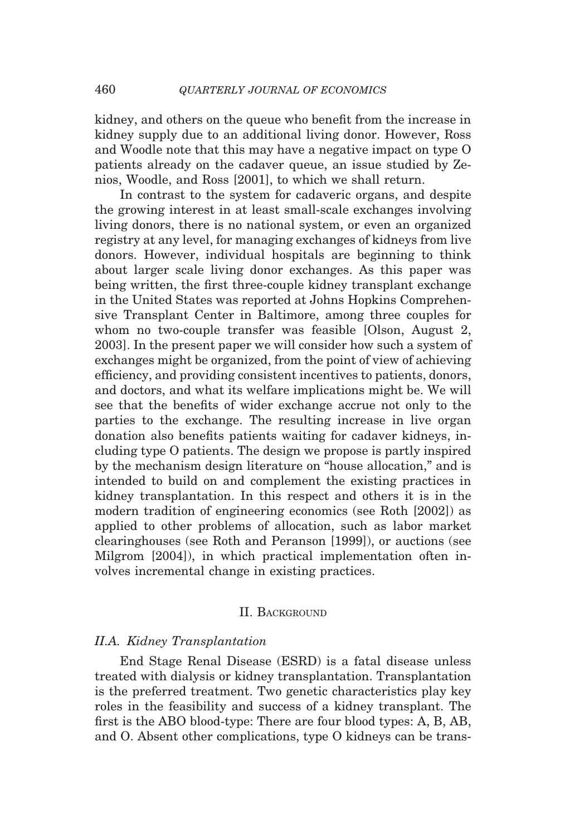kidney, and others on the queue who benefit from the increase in kidney supply due to an additional living donor. However, Ross and Woodle note that this may have a negative impact on type O patients already on the cadaver queue, an issue studied by Zenios, Woodle, and Ross [2001], to which we shall return.

In contrast to the system for cadaveric organs, and despite the growing interest in at least small-scale exchanges involving living donors, there is no national system, or even an organized registry at any level, for managing exchanges of kidneys from live donors. However, individual hospitals are beginning to think about larger scale living donor exchanges. As this paper was being written, the first three-couple kidney transplant exchange in the United States was reported at Johns Hopkins Comprehensive Transplant Center in Baltimore, among three couples for whom no two-couple transfer was feasible [Olson, August 2, 2003]. In the present paper we will consider how such a system of exchanges might be organized, from the point of view of achieving efficiency, and providing consistent incentives to patients, donors, and doctors, and what its welfare implications might be. We will see that the benefits of wider exchange accrue not only to the parties to the exchange. The resulting increase in live organ donation also benefits patients waiting for cadaver kidneys, including type O patients. The design we propose is partly inspired by the mechanism design literature on "house allocation," and is intended to build on and complement the existing practices in kidney transplantation. In this respect and others it is in the modern tradition of engineering economics (see Roth [2002]) as applied to other problems of allocation, such as labor market clearinghouses (see Roth and Peranson [1999]), or auctions (see Milgrom [2004]), in which practical implementation often involves incremental change in existing practices.

### II. BACKGROUND

#### *II.A. Kidney Transplantation*

End Stage Renal Disease (ESRD) is a fatal disease unless treated with dialysis or kidney transplantation. Transplantation is the preferred treatment. Two genetic characteristics play key roles in the feasibility and success of a kidney transplant. The first is the ABO blood-type: There are four blood types: A, B, AB, and O. Absent other complications, type O kidneys can be trans-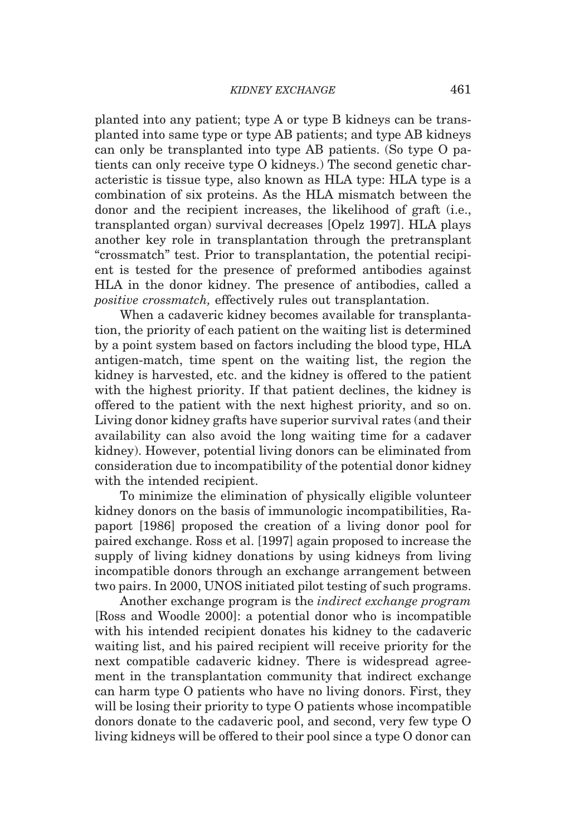planted into any patient; type A or type B kidneys can be transplanted into same type or type AB patients; and type AB kidneys can only be transplanted into type AB patients. (So type O patients can only receive type O kidneys.) The second genetic characteristic is tissue type, also known as HLA type: HLA type is a combination of six proteins. As the HLA mismatch between the donor and the recipient increases, the likelihood of graft (i.e., transplanted organ) survival decreases [Opelz 1997]. HLA plays another key role in transplantation through the pretransplant "crossmatch" test. Prior to transplantation, the potential recipient is tested for the presence of preformed antibodies against HLA in the donor kidney. The presence of antibodies, called a *positive crossmatch,* effectively rules out transplantation.

When a cadaveric kidney becomes available for transplantation, the priority of each patient on the waiting list is determined by a point system based on factors including the blood type, HLA antigen-match, time spent on the waiting list, the region the kidney is harvested, etc. and the kidney is offered to the patient with the highest priority. If that patient declines, the kidney is offered to the patient with the next highest priority, and so on. Living donor kidney grafts have superior survival rates (and their availability can also avoid the long waiting time for a cadaver kidney). However, potential living donors can be eliminated from consideration due to incompatibility of the potential donor kidney with the intended recipient.

To minimize the elimination of physically eligible volunteer kidney donors on the basis of immunologic incompatibilities, Rapaport [1986] proposed the creation of a living donor pool for paired exchange. Ross et al. [1997] again proposed to increase the supply of living kidney donations by using kidneys from living incompatible donors through an exchange arrangement between two pairs. In 2000, UNOS initiated pilot testing of such programs.

Another exchange program is the *indirect exchange program* [Ross and Woodle 2000]: a potential donor who is incompatible with his intended recipient donates his kidney to the cadaveric waiting list, and his paired recipient will receive priority for the next compatible cadaveric kidney. There is widespread agreement in the transplantation community that indirect exchange can harm type O patients who have no living donors. First, they will be losing their priority to type O patients whose incompatible donors donate to the cadaveric pool, and second, very few type O living kidneys will be offered to their pool since a type O donor can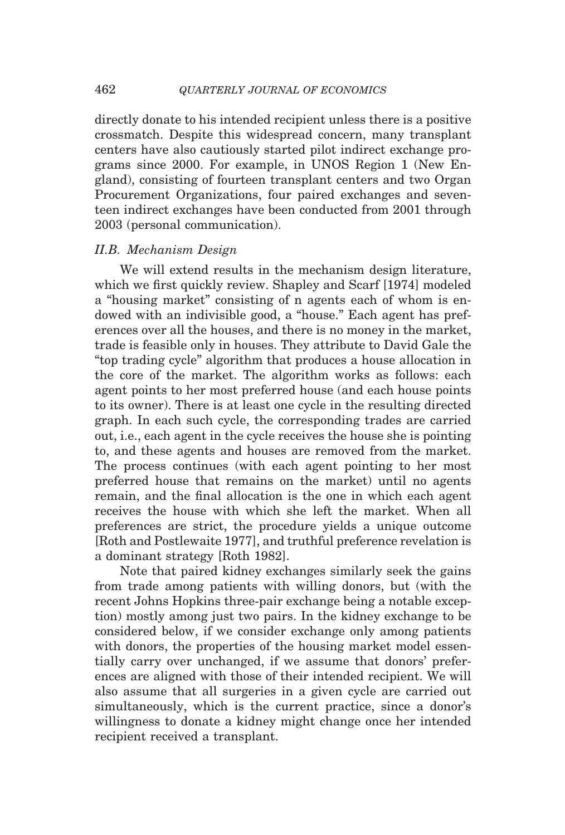directly donate to his intended recipient unless there is a positive crossmatch. Despite this widespread concern, many transplant centers have also cautiously started pilot indirect exchange programs since 2000. For example, in UNOS Region 1 (New England), consisting of fourteen transplant centers and two Organ Procurement Organizations, four paired exchanges and seventeen indirect exchanges have been conducted from 2001 through 2003 (personal communication).

### *II.B. Mechanism Design*

We will extend results in the mechanism design literature, which we first quickly review. Shapley and Scarf [1974] modeled a "housing market" consisting of n agents each of whom is endowed with an indivisible good, a "house." Each agent has preferences over all the houses, and there is no money in the market, trade is feasible only in houses. They attribute to David Gale the "top trading cycle" algorithm that produces a house allocation in the core of the market. The algorithm works as follows: each agent points to her most preferred house (and each house points to its owner). There is at least one cycle in the resulting directed graph. In each such cycle, the corresponding trades are carried out, i.e., each agent in the cycle receives the house she is pointing to, and these agents and houses are removed from the market. The process continues (with each agent pointing to her most preferred house that remains on the market) until no agents remain, and the final allocation is the one in which each agent receives the house with which she left the market. When all preferences are strict, the procedure yields a unique outcome [Roth and Postlewaite 1977], and truthful preference revelation is a dominant strategy [Roth 1982].

Note that paired kidney exchanges similarly seek the gains from trade among patients with willing donors, but (with the recent Johns Hopkins three-pair exchange being a notable exception) mostly among just two pairs. In the kidney exchange to be considered below, if we consider exchange only among patients with donors, the properties of the housing market model essentially carry over unchanged, if we assume that donors' preferences are aligned with those of their intended recipient. We will also assume that all surgeries in a given cycle are carried out simultaneously, which is the current practice, since a donor's willingness to donate a kidney might change once her intended recipient received a transplant.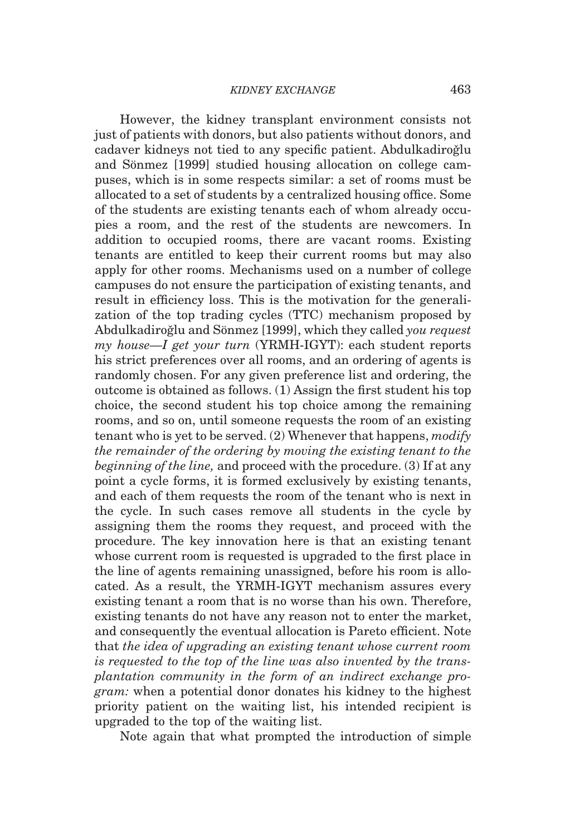However, the kidney transplant environment consists not just of patients with donors, but also patients without donors, and cadaver kidneys not tied to any specific patient. Abdulkadiroğlu and Sönmez [1999] studied housing allocation on college campuses, which is in some respects similar: a set of rooms must be allocated to a set of students by a centralized housing office. Some of the students are existing tenants each of whom already occupies a room, and the rest of the students are newcomers. In addition to occupied rooms, there are vacant rooms. Existing tenants are entitled to keep their current rooms but may also apply for other rooms. Mechanisms used on a number of college campuses do not ensure the participation of existing tenants, and result in efficiency loss. This is the motivation for the generalization of the top trading cycles (TTC) mechanism proposed by Abdulkadiroğlu and Sönmez [1999], which they called *you request my house—I get your turn* (YRMH-IGYT): each student reports his strict preferences over all rooms, and an ordering of agents is randomly chosen. For any given preference list and ordering, the outcome is obtained as follows. (1) Assign the first student his top choice, the second student his top choice among the remaining rooms, and so on, until someone requests the room of an existing tenant who is yet to be served. (2) Whenever that happens, *modify the remainder of the ordering by moving the existing tenant to the beginning of the line,* and proceed with the procedure. (3) If at any point a cycle forms, it is formed exclusively by existing tenants, and each of them requests the room of the tenant who is next in the cycle. In such cases remove all students in the cycle by assigning them the rooms they request, and proceed with the procedure. The key innovation here is that an existing tenant whose current room is requested is upgraded to the first place in the line of agents remaining unassigned, before his room is allocated. As a result, the YRMH-IGYT mechanism assures every existing tenant a room that is no worse than his own. Therefore, existing tenants do not have any reason not to enter the market, and consequently the eventual allocation is Pareto efficient. Note that *the idea of upgrading an existing tenant whose current room is requested to the top of the line was also invented by the transplantation community in the form of an indirect exchange program:* when a potential donor donates his kidney to the highest priority patient on the waiting list, his intended recipient is upgraded to the top of the waiting list.

Note again that what prompted the introduction of simple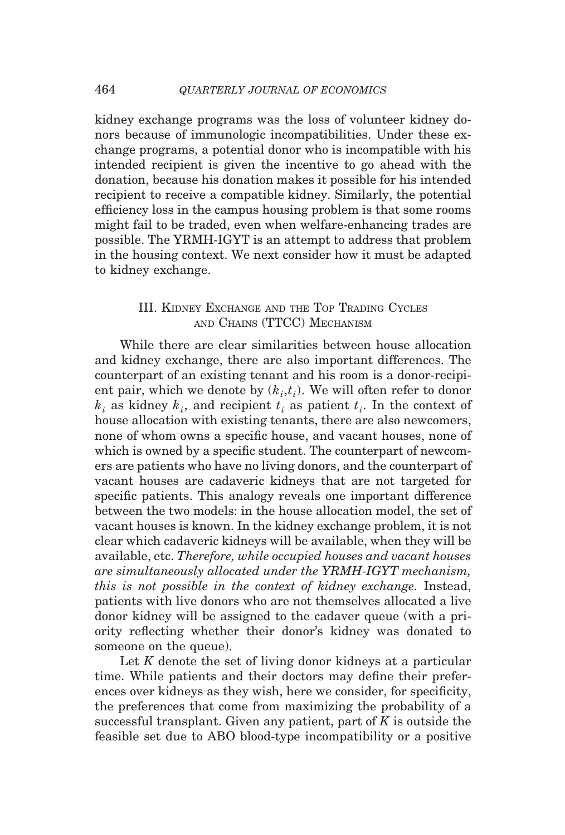kidney exchange programs was the loss of volunteer kidney donors because of immunologic incompatibilities. Under these exchange programs, a potential donor who is incompatible with his intended recipient is given the incentive to go ahead with the donation, because his donation makes it possible for his intended recipient to receive a compatible kidney. Similarly, the potential efficiency loss in the campus housing problem is that some rooms might fail to be traded, even when welfare-enhancing trades are possible. The YRMH-IGYT is an attempt to address that problem in the housing context. We next consider how it must be adapted to kidney exchange.

# III. KIDNEY EXCHANGE AND THE TOP TRADING CYCLES AND CHAINS (TTCC) MECHANISM

While there are clear similarities between house allocation and kidney exchange, there are also important differences. The counterpart of an existing tenant and his room is a donor-recipient pair, which we denote by  $(k_i, t_i)$ . We will often refer to donor  $k_i$  as kidney  $k_i$ , and recipient  $t_i$  as patient  $t_i$ . In the context of house allocation with existing tenants, there are also newcomers, none of whom owns a specific house, and vacant houses, none of which is owned by a specific student. The counterpart of newcomers are patients who have no living donors, and the counterpart of vacant houses are cadaveric kidneys that are not targeted for specific patients. This analogy reveals one important difference between the two models: in the house allocation model, the set of vacant houses is known. In the kidney exchange problem, it is not clear which cadaveric kidneys will be available, when they will be available, etc. *Therefore, while occupied houses and vacant houses are simultaneously allocated under the YRMH-IGYT mechanism, this is not possible in the context of kidney exchange.* Instead, patients with live donors who are not themselves allocated a live donor kidney will be assigned to the cadaver queue (with a priority reflecting whether their donor's kidney was donated to someone on the queue).

Let *K* denote the set of living donor kidneys at a particular time. While patients and their doctors may define their preferences over kidneys as they wish, here we consider, for specificity, the preferences that come from maximizing the probability of a successful transplant. Given any patient, part of *K* is outside the feasible set due to ABO blood-type incompatibility or a positive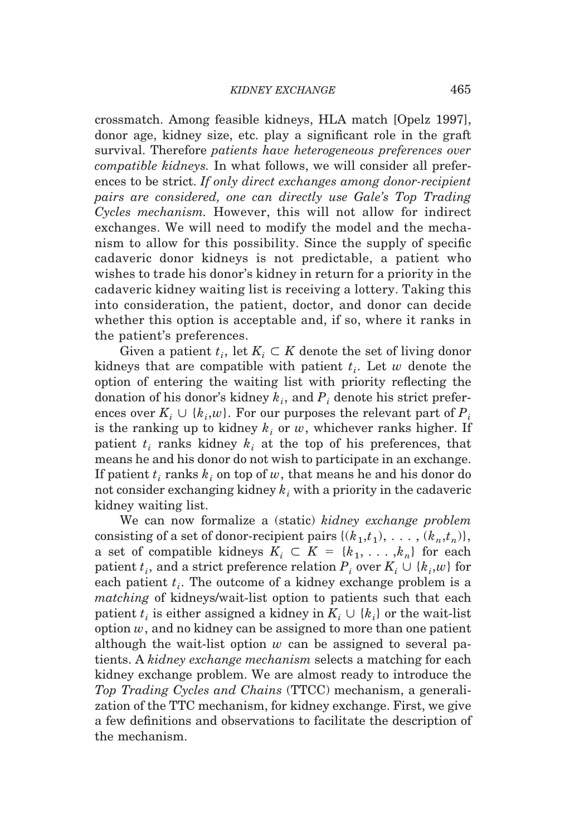crossmatch. Among feasible kidneys, HLA match [Opelz 1997], donor age, kidney size, etc. play a significant role in the graft survival. Therefore *patients have heterogeneous preferences over compatible kidneys.* In what follows, we will consider all preferences to be strict. *If only direct exchanges among donor-recipient pairs are considered, one can directly use Gale's Top Trading Cycles mechanism.* However, this will not allow for indirect exchanges. We will need to modify the model and the mechanism to allow for this possibility. Since the supply of specific cadaveric donor kidneys is not predictable, a patient who wishes to trade his donor's kidney in return for a priority in the cadaveric kidney waiting list is receiving a lottery. Taking this into consideration, the patient, doctor, and donor can decide whether this option is acceptable and, if so, where it ranks in the patient's preferences.

Given a patient  $t_i$ , let  $K_i \subset K$  denote the set of living donor kidneys that are compatible with patient  $t_i$ . Let  $w$  denote the option of entering the waiting list with priority reflecting the donation of his donor's kidney  $k_i$ , and  $P_i$  denote his strict preferences over  $K_i \cup \{k_i, w\}$ . For our purposes the relevant part of  $P_i$ is the ranking up to kidney  $k_i$  or  $w$ , whichever ranks higher. If patient  $t_i$  ranks kidney  $k_i$  at the top of his preferences, that means he and his donor do not wish to participate in an exchange. If patient  $t_i$  ranks  $k_i$  on top of  $w$ , that means he and his donor do not consider exchanging kidney  $k_i$ , with a priority in the cadaveric kidney waiting list.

We can now formalize a (static) *kidney exchange problem* consisting of a set of donor-recipient pairs  $\{(k_1,t_1), \ldots, (k_n,t_n)\},\$ a set of compatible kidneys  $K_i \subset K = \{k_1, \ldots, k_n\}$  for each  $p_i$  and a strict preference relation  $P_i$  over  $K_i \cup \{k_i, w\}$  for each patient  $t_i$ . The outcome of a kidney exchange problem is a *matching* of kidneys/wait-list option to patients such that each patient  $t_i$  is either assigned a kidney in  $K_i \cup \{k_i\}$  or the wait-list option  $w$ , and no kidney can be assigned to more than one patient although the wait-list option *w* can be assigned to several patients. A *kidney exchange mechanism* selects a matching for each kidney exchange problem. We are almost ready to introduce the *Top Trading Cycles and Chains* (TTCC) mechanism, a generalization of the TTC mechanism, for kidney exchange. First, we give a few definitions and observations to facilitate the description of the mechanism.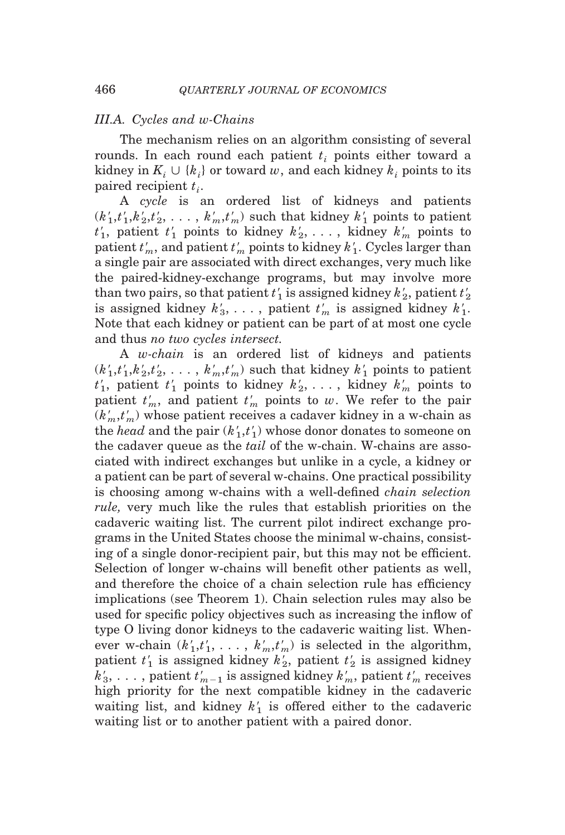### *III.A. Cycles and w-Chains*

The mechanism relies on an algorithm consisting of several rounds. In each round each patient *t<sub>i</sub>* points either toward a kidney in  $K_i \cup \{k_i\}$  or toward  $w$ , and each kidney  $k_i$  points to its paired recipient *ti*.

A *cycle* is an ordered list of kidneys and patients  $(k'_1,t'_1,k'_2,t'_2,\ldots,k'_m,t'_m)$  such that kidney  $k'_1$  points to patient  $t'_{1}$ , patient  $t'_{1}$  points to kidney  $k'_{2}, \ldots$ , kidney  $k'_{m}$  points to  $p$ atient  $t'_m$ , and patient  $t'_m$  points to kidney  $k'_1$ . Cycles larger than a single pair are associated with direct exchanges, very much like the paired-kidney-exchange programs, but may involve more than two pairs, so that patient  $t'_1$  is assigned kidney  $k'_2$ , patient  $t'_2$ is assigned kidney  $k'_3, \ldots$ , patient  $t'_m$  is assigned kidney  $k'_1$ . Note that each kidney or patient can be part of at most one cycle and thus *no two cycles intersect.*

A *w-chain* is an ordered list of kidneys and patients  $(k'_1, t'_1, k'_2, t'_2, \ldots, k'_m, t'_m)$  such that kidney  $k'_1$  points to patient  $t'_{1}$ , patient  $t'_{1}$  points to kidney  $k'_{2}, \ldots$ , kidney  $k'_{m}$  points to patient  $t'_{m}$ , and patient  $t'_{m}$  points to  $w$ . We refer to the pair  $(k'_m,t'_m)$  whose patient receives a cadaver kidney in a w-chain as the *head* and the pair  $(k'_1, t'_1)$  whose donor donates to someone on the cadaver queue as the *tail* of the w-chain. W-chains are associated with indirect exchanges but unlike in a cycle, a kidney or a patient can be part of several w-chains. One practical possibility is choosing among w-chains with a well-defined *chain selection rule,* very much like the rules that establish priorities on the cadaveric waiting list. The current pilot indirect exchange programs in the United States choose the minimal w-chains, consisting of a single donor-recipient pair, but this may not be efficient. Selection of longer w-chains will benefit other patients as well, and therefore the choice of a chain selection rule has efficiency implications (see Theorem 1). Chain selection rules may also be used for specific policy objectives such as increasing the inflow of type O living donor kidneys to the cadaveric waiting list. Whenever w-chain  $(k'_1, t'_1, \ldots, k'_m, t'_m)$  is selected in the algorithm, patient  $t'_1$  is assigned kidney  $k'_2$ , patient  $t'_2$  is assigned kidney  $k'_3, \ldots,$  patient  $t'_{m-1}$  is assigned kidney  $k'_m$ , patient  $t'_m$  receives high priority for the next compatible kidney in the cadaveric waiting list, and kidney  $k'_1$  is offered either to the cadaveric waiting list or to another patient with a paired donor.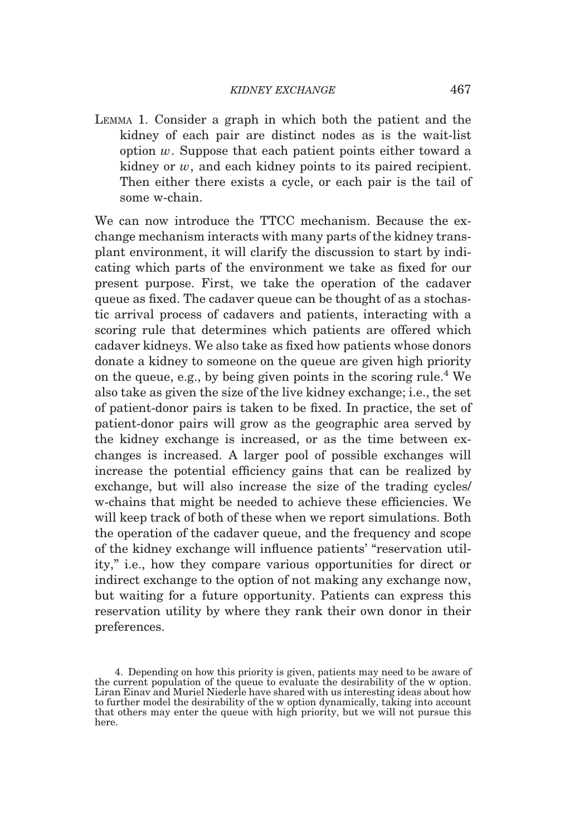LEMMA 1. Consider a graph in which both the patient and the kidney of each pair are distinct nodes as is the wait-list option *w*. Suppose that each patient points either toward a kidney or *w*, and each kidney points to its paired recipient. Then either there exists a cycle, or each pair is the tail of some w-chain.

We can now introduce the TTCC mechanism. Because the exchange mechanism interacts with many parts of the kidney transplant environment, it will clarify the discussion to start by indicating which parts of the environment we take as fixed for our present purpose. First, we take the operation of the cadaver queue as fixed. The cadaver queue can be thought of as a stochastic arrival process of cadavers and patients, interacting with a scoring rule that determines which patients are offered which cadaver kidneys. We also take as fixed how patients whose donors donate a kidney to someone on the queue are given high priority on the queue, e.g., by being given points in the scoring rule.<sup>4</sup> We also take as given the size of the live kidney exchange; i.e., the set of patient-donor pairs is taken to be fixed. In practice, the set of patient-donor pairs will grow as the geographic area served by the kidney exchange is increased, or as the time between exchanges is increased. A larger pool of possible exchanges will increase the potential efficiency gains that can be realized by exchange, but will also increase the size of the trading cycles/ w-chains that might be needed to achieve these efficiencies. We will keep track of both of these when we report simulations. Both the operation of the cadaver queue, and the frequency and scope of the kidney exchange will influence patients' "reservation utility," i.e., how they compare various opportunities for direct or indirect exchange to the option of not making any exchange now, but waiting for a future opportunity. Patients can express this reservation utility by where they rank their own donor in their preferences.

<sup>4.</sup> Depending on how this priority is given, patients may need to be aware of the current population of the queue to evaluate the desirability of the w option. Liran Einav and Muriel Niederle have shared with us interesting ideas about how to further model the desirability of the w option dynamically, taking into account that others may enter the queue with high priority, but we will not pursue this here.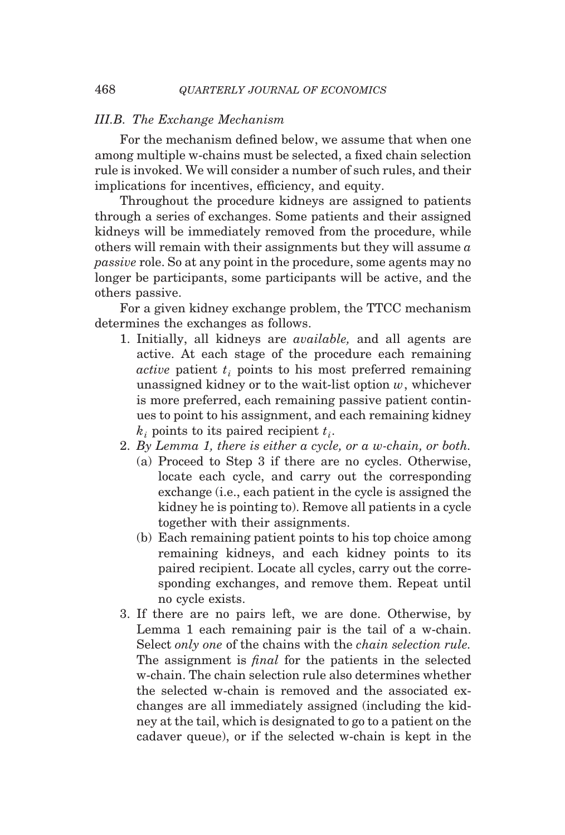### *III.B. The Exchange Mechanism*

For the mechanism defined below, we assume that when one among multiple w-chains must be selected, a fixed chain selection rule is invoked. We will consider a number of such rules, and their implications for incentives, efficiency, and equity.

Throughout the procedure kidneys are assigned to patients through a series of exchanges. Some patients and their assigned kidneys will be immediately removed from the procedure, while others will remain with their assignments but they will assume *a passive* role. So at any point in the procedure, some agents may no longer be participants, some participants will be active, and the others passive.

For a given kidney exchange problem, the TTCC mechanism determines the exchanges as follows.

- 1. Initially, all kidneys are *available,* and all agents are active. At each stage of the procedure each remaining *active* patient *ti* points to his most preferred remaining unassigned kidney or to the wait-list option *w*, whichever is more preferred, each remaining passive patient continues to point to his assignment, and each remaining kidney  $k_i$  points to its paired recipient  $t_i$ .
- 2. *By Lemma 1, there is either a cycle, or a w-chain, or both.*
	- (a) Proceed to Step 3 if there are no cycles. Otherwise, locate each cycle, and carry out the corresponding exchange (i.e., each patient in the cycle is assigned the kidney he is pointing to). Remove all patients in a cycle together with their assignments.
	- (b) Each remaining patient points to his top choice among remaining kidneys, and each kidney points to its paired recipient. Locate all cycles, carry out the corresponding exchanges, and remove them. Repeat until no cycle exists.
- 3. If there are no pairs left, we are done. Otherwise, by Lemma 1 each remaining pair is the tail of a w-chain. Select *only one* of the chains with the *chain selection rule.* The assignment is *final* for the patients in the selected w-chain. The chain selection rule also determines whether the selected w-chain is removed and the associated exchanges are all immediately assigned (including the kidney at the tail, which is designated to go to a patient on the cadaver queue), or if the selected w-chain is kept in the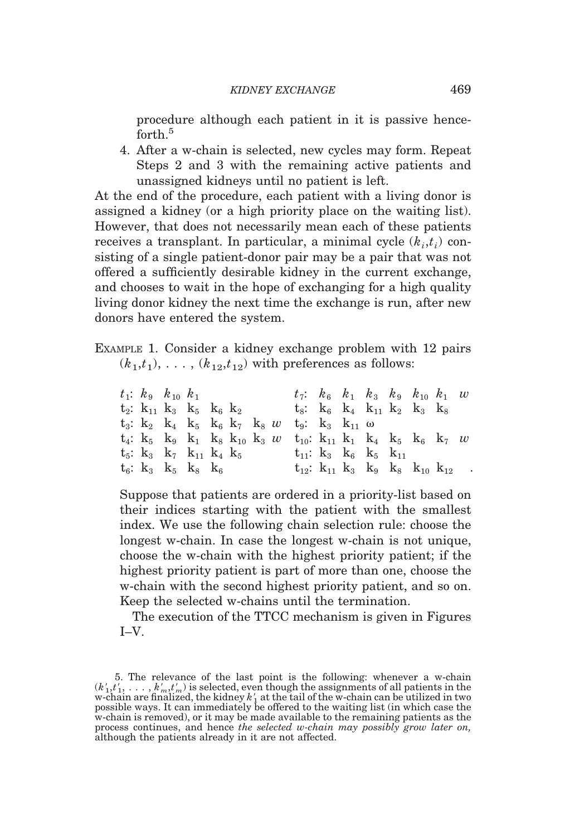procedure although each patient in it is passive hence $f$ orth $^5$ 

4. After a w-chain is selected, new cycles may form. Repeat Steps 2 and 3 with the remaining active patients and unassigned kidneys until no patient is left.

At the end of the procedure, each patient with a living donor is assigned a kidney (or a high priority place on the waiting list). However, that does not necessarily mean each of these patients receives a transplant. In particular, a minimal cycle  $(k_i, t_i)$  consisting of a single patient-donor pair may be a pair that was not offered a sufficiently desirable kidney in the current exchange, and chooses to wait in the hope of exchanging for a high quality living donor kidney the next time the exchange is run, after new donors have entered the system.

EXAMPLE 1. Consider a kidney exchange problem with 12 pairs  $(k_1,t_1), \ldots, (k_{12},t_{12})$  with preferences as follows:

| $t_1$ : $k_9$ $k_{10}$ $k_1$                    |  |  |  |                                                                                                          |                                       |  |                                                | $t_7$ : $k_6$ $k_1$ $k_3$ $k_9$ $k_{10}$ $k_1$ $w$        |  |
|-------------------------------------------------|--|--|--|----------------------------------------------------------------------------------------------------------|---------------------------------------|--|------------------------------------------------|-----------------------------------------------------------|--|
| $t_2$ : $k_{11}$ $k_3$ $k_5$ $k_6$ $k_2$        |  |  |  |                                                                                                          |                                       |  | $t_8$ : $k_6$ $k_4$ $k_{11}$ $k_2$ $k_3$ $k_8$ |                                                           |  |
| $t_3$ : $k_2$ $k_4$ $k_5$ $k_6$ $k_7$ $k_8$ $w$ |  |  |  | $t_9$ : k <sub>3</sub> k <sub>11</sub> ω                                                                 |                                       |  |                                                |                                                           |  |
|                                                 |  |  |  | $t_4$ : $k_5$ $k_9$ $k_1$ $k_8$ $k_{10}$ $k_3$ $w$ $t_{10}$ : $k_{11}$ $k_1$ $k_4$ $k_5$ $k_6$ $k_7$ $w$ |                                       |  |                                                |                                                           |  |
| $t_5$ : $k_3$ $k_7$ $k_{11}$ $k_4$ $k_5$        |  |  |  |                                                                                                          | $t_{11}$ : $k_3$ $k_6$ $k_5$ $k_{11}$ |  |                                                |                                                           |  |
| $t_6$ : $k_3$ $k_5$ $k_8$ $k_6$                 |  |  |  |                                                                                                          |                                       |  |                                                | $t_{12}$ : $k_{11}$ $k_3$ $k_9$ $k_8$ $k_{10}$ $k_{12}$ . |  |

Suppose that patients are ordered in a priority-list based on their indices starting with the patient with the smallest index. We use the following chain selection rule: choose the longest w-chain. In case the longest w-chain is not unique, choose the w-chain with the highest priority patient; if the highest priority patient is part of more than one, choose the w-chain with the second highest priority patient, and so on. Keep the selected w-chains until the termination.

The execution of the TTCC mechanism is given in Figures  $I-V$ 

<sup>5.</sup> The relevance of the last point is the following: whenever a w-chain  $(k'_1, t'_1, \ldots, k'_m, t'_m)$  is selected, even though the assignments of all patients in the w-chain are finalized, the kidney  $k'_1$  at the tail of the w-c w-chain is removed), or it may be made available to the remaining patients as the process continues, and hence *the selected w-chain may possibly grow later on,* although the patients already in it are not affected.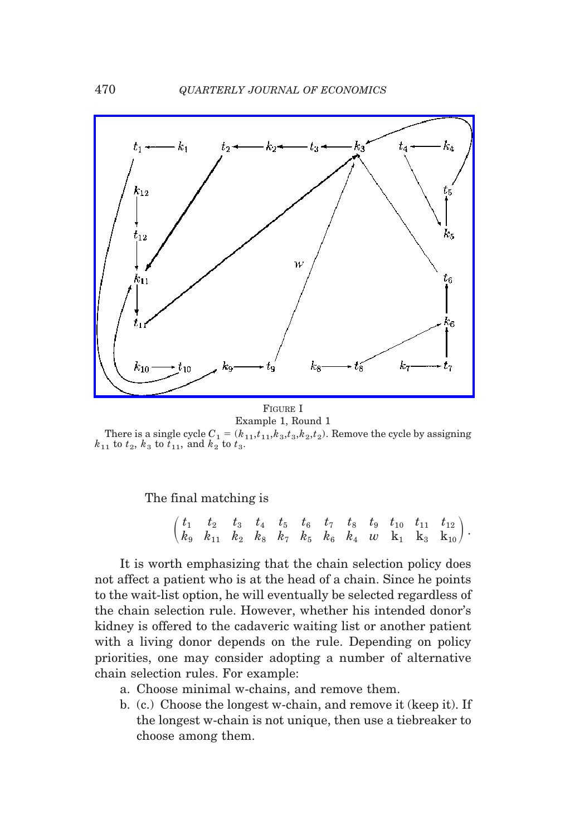

FIGURE I Example 1, Round 1

There is a single cycle  $C_1 = (k_{11}, t_{11}, k_3, t_3, k_2, t_2)$ . Remove the cycle by assigning  $k_{11}$  to  $t_2$ ,  $k_3$  to  $t_{11}$ , and  $k_2$  to  $t_3$ .

The final matching is

 $\begin{pmatrix} t_1 & t_2 & t_3 & t_4 & t_5 & t_6 & t_7 & t_8 & t_9 & t_{10} & t_{11} & t_{12} \ k_9 & k_{11} & k_2 & k_8 & k_7 & k_5 & k_6 & k_4 & w & k_1 & k_3 & k_{10} \end{pmatrix}.$ 

It is worth emphasizing that the chain selection policy does not affect a patient who is at the head of a chain. Since he points to the wait-list option, he will eventually be selected regardless of the chain selection rule. However, whether his intended donor's kidney is offered to the cadaveric waiting list or another patient with a living donor depends on the rule. Depending on policy priorities, one may consider adopting a number of alternative chain selection rules. For example:

- a. Choose minimal w-chains, and remove them.
- b. (c.) Choose the longest w-chain, and remove it (keep it). If the longest w-chain is not unique, then use a tiebreaker to choose among them.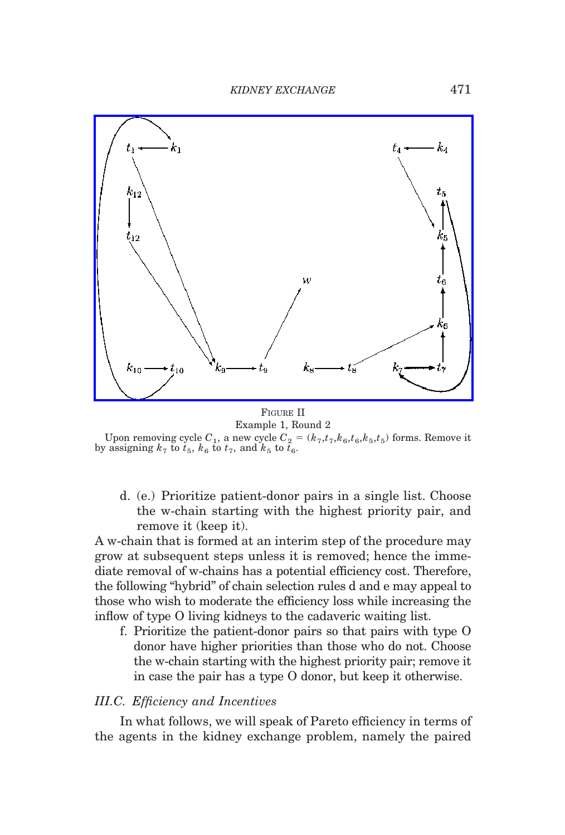

#### FIGURE II Example 1, Round 2

Upon removing cycle  $C_1$ , a new cycle  $C_2 = (k_7, t_7, k_6, t_6, k_5, t_5)$  forms. Remove it by assigning  $k_7$  to  $\tilde{t}_5$ ,  $k_6$  to  $t_7$ , and  $\tilde{t}_5$  to  $\tilde{t}_6$ .

d. (e.) Prioritize patient-donor pairs in a single list. Choose the w-chain starting with the highest priority pair, and remove it (keep it).

A w-chain that is formed at an interim step of the procedure may grow at subsequent steps unless it is removed; hence the immediate removal of w-chains has a potential efficiency cost. Therefore, the following "hybrid" of chain selection rules d and e may appeal to those who wish to moderate the efficiency loss while increasing the inflow of type O living kidneys to the cadaveric waiting list.

f. Prioritize the patient-donor pairs so that pairs with type O donor have higher priorities than those who do not. Choose the w-chain starting with the highest priority pair; remove it in case the pair has a type O donor, but keep it otherwise.

### *III.C. Efficiency and Incentives*

In what follows, we will speak of Pareto efficiency in terms of the agents in the kidney exchange problem, namely the paired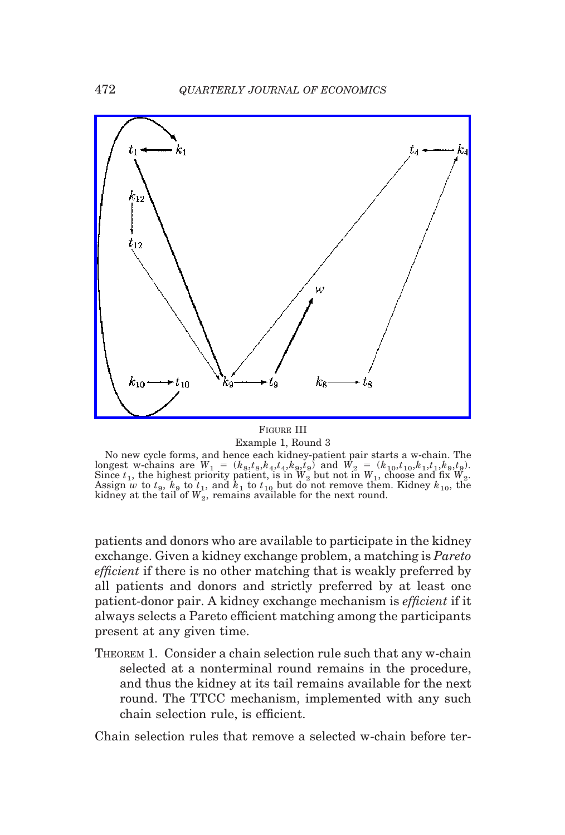

FIGURE III Example 1, Round 3

No new cycle forms, and hence each kidney-patient pair starts a w-chain. The longest w-chains are  $W_1 = (k_8, t_8, k_4, t_4, k_9, t_9)$  and  $W_2 = (k_{10}, t_{10}, k_1, t_1, k_9, t_9)$ .<br>Since  $t_1$ , the highest priority patient, is in  $W_2$  but not in  $W_1$ , choose and fix  $W_2$ . Assign *w* to  $t_9$ ,  $k_9$  to  $t_1$ , and  $k_1$  to  $t_{10}$  but do not remove them. Kidney  $k_{10}$ , the kidney at the tail of  $W_2$ , remains available for the next round.

patients and donors who are available to participate in the kidney exchange. Given a kidney exchange problem, a matching is *Pareto efficient* if there is no other matching that is weakly preferred by all patients and donors and strictly preferred by at least one patient-donor pair. A kidney exchange mechanism is *efficient* if it always selects a Pareto efficient matching among the participants present at any given time.

THEOREM 1. Consider a chain selection rule such that any w-chain selected at a nonterminal round remains in the procedure, and thus the kidney at its tail remains available for the next round. The TTCC mechanism, implemented with any such chain selection rule, is efficient.

Chain selection rules that remove a selected w-chain before ter-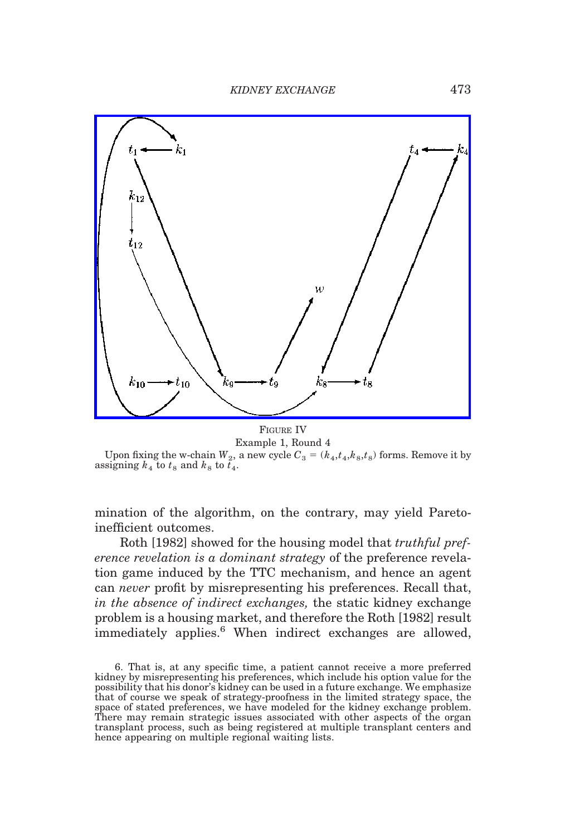

FIGURE IV Example 1, Round 4

Upon fixing the w-chain  $W_2$ , a new cycle  $C_3 = (k_4, t_4, k_8, t_8)$  forms. Remove it by assigning  $k_4$  to  $t_8$  and  $k_8$  to  $\bar{t}_4$ .

mination of the algorithm, on the contrary, may yield Paretoinefficient outcomes.

Roth [1982] showed for the housing model that *truthful preference revelation is a dominant strategy* of the preference revelation game induced by the TTC mechanism, and hence an agent can *never* profit by misrepresenting his preferences. Recall that, *in the absence of indirect exchanges,* the static kidney exchange problem is a housing market, and therefore the Roth [1982] result immediately applies.<sup>6</sup> When indirect exchanges are allowed,

<sup>6.</sup> That is, at any specific time, a patient cannot receive a more preferred kidney by misrepresenting his preferences, which include his option value for the possibility that his donor's kidney can be used in a future exchange. We emphasize that of course we speak of strategy-proofness in the limited strategy space, the space of stated preferences, we have modeled for the kidney exchange problem. There may remain strategic issues associated with other aspects of the organ transplant process, such as being registered at multiple transplant centers and hence appearing on multiple regional waiting lists.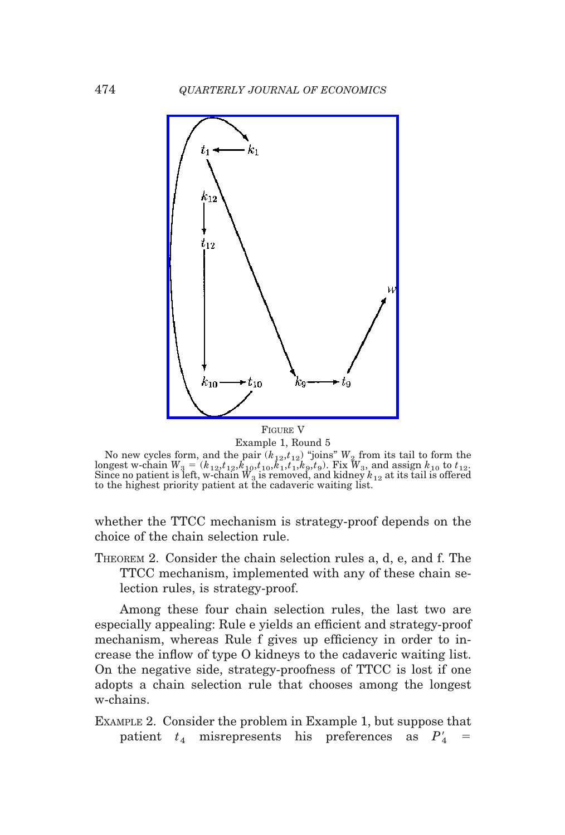

FIGURE V Example 1, Round 5

No new cycles form, and the pair (*k*12,*t*12) "joins" *W*<sup>2</sup> from its tail to form the longest w-chain  $W_3 = (k_{12}, k_{10}, k_{10}, k_{11}, k_9, t_9)$ . Fix  $W_3$ , and assign  $k_{10}$  to  $t_{12}$ .<br>Since no patient is left, w-chain  $W_3$  is removed, and kidney  $k_{12}$  at its tail is offered to the highest priority patient at the cadaveric waiting list.

whether the TTCC mechanism is strategy-proof depends on the choice of the chain selection rule.

THEOREM 2. Consider the chain selection rules a, d, e, and f. The TTCC mechanism, implemented with any of these chain selection rules, is strategy-proof.

Among these four chain selection rules, the last two are especially appealing: Rule e yields an efficient and strategy-proof mechanism, whereas Rule f gives up efficiency in order to increase the inflow of type O kidneys to the cadaveric waiting list. On the negative side, strategy-proofness of TTCC is lost if one adopts a chain selection rule that chooses among the longest w-chains.

EXAMPLE 2. Consider the problem in Example 1, but suppose that patient  $t_4$  misrepresents his preferences as  $P'_4$  =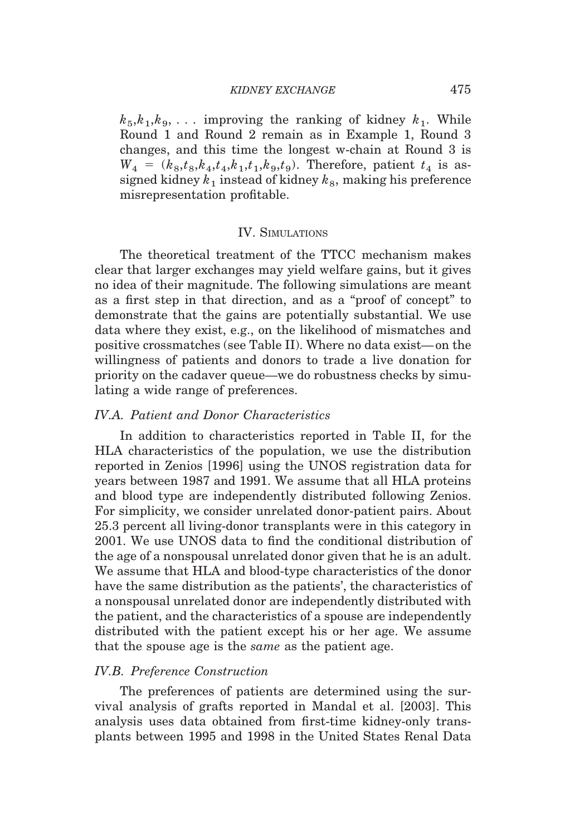$k_5, k_1, k_9, \ldots$  improving the ranking of kidney  $k_1$ . While Round 1 and Round 2 remain as in Example 1, Round 3 changes, and this time the longest w-chain at Round 3 is  $W_4 = (k_8, t_8, k_4, t_4, k_1, t_1, k_9, t_9)$ . Therefore, patient  $t_4$  is assigned kidney  $k_1$  instead of kidney  $k_8$ , making his preference misrepresentation profitable.

# IV. SIMULATIONS

The theoretical treatment of the TTCC mechanism makes clear that larger exchanges may yield welfare gains, but it gives no idea of their magnitude. The following simulations are meant as a first step in that direction, and as a "proof of concept" to demonstrate that the gains are potentially substantial. We use data where they exist, e.g., on the likelihood of mismatches and positive crossmatches (see Table II). Where no data exist—on the willingness of patients and donors to trade a live donation for priority on the cadaver queue—we do robustness checks by simulating a wide range of preferences.

#### *IV.A. Patient and Donor Characteristics*

In addition to characteristics reported in Table II, for the HLA characteristics of the population, we use the distribution reported in Zenios [1996] using the UNOS registration data for years between 1987 and 1991. We assume that all HLA proteins and blood type are independently distributed following Zenios. For simplicity, we consider unrelated donor-patient pairs. About 25.3 percent all living-donor transplants were in this category in 2001. We use UNOS data to find the conditional distribution of the age of a nonspousal unrelated donor given that he is an adult. We assume that HLA and blood-type characteristics of the donor have the same distribution as the patients', the characteristics of a nonspousal unrelated donor are independently distributed with the patient, and the characteristics of a spouse are independently distributed with the patient except his or her age. We assume that the spouse age is the *same* as the patient age.

# *IV.B. Preference Construction*

The preferences of patients are determined using the survival analysis of grafts reported in Mandal et al. [2003]. This analysis uses data obtained from first-time kidney-only transplants between 1995 and 1998 in the United States Renal Data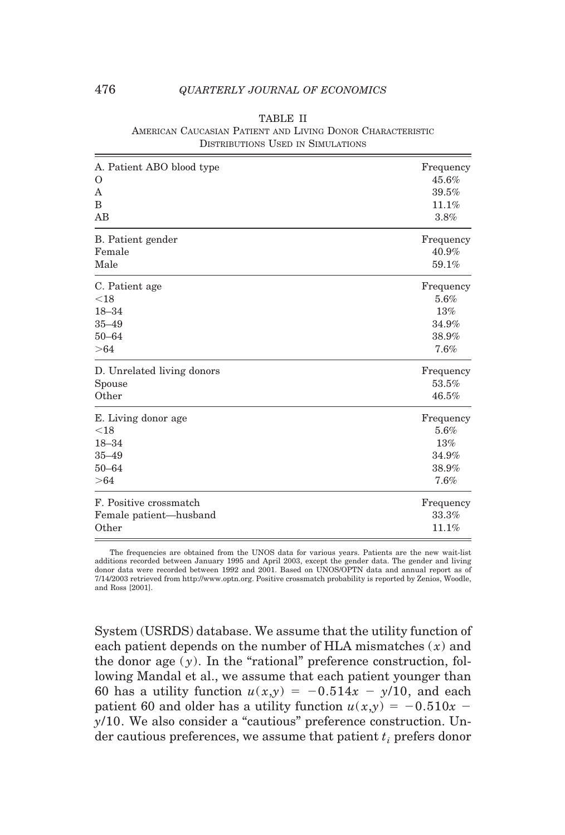| A. Patient ABO blood type  | Frequency |
|----------------------------|-----------|
| $\Omega$                   | 45.6%     |
| Α                          | 39.5%     |
| B                          | 11.1%     |
| AB                         | 3.8%      |
| <b>B.</b> Patient gender   | Frequency |
| Female                     | 40.9%     |
| Male                       | 59.1%     |
| C. Patient age             | Frequency |
| $<$ 18                     | 5.6%      |
| $18 - 34$                  | 13%       |
| $35 - 49$                  | 34.9%     |
| $50 - 64$                  | 38.9%     |
| >64                        | 7.6%      |
| D. Unrelated living donors | Frequency |
| Spouse                     | 53.5%     |
| Other                      | $46.5\%$  |
| E. Living donor age        | Frequency |
| $<$ 18                     | 5.6%      |
| $18 - 34$                  | 13%       |
| $35 - 49$                  | 34.9%     |
| $50 - 64$                  | 38.9%     |
| > 64                       | 7.6%      |
| F. Positive crossmatch     | Frequency |
| Female patient—husband     | 33.3%     |
| Other                      | 11.1%     |

#### TABLE II AMERICAN CAUCASIAN PATIENT AND LIVING DONOR CHARACTERISTIC DISTRIBUTIONS USED IN SIMULATIONS

The frequencies are obtained from the UNOS data for various years. Patients are the new wait-list additions recorded between January 1995 and April 2003, except the gender data. The gender and living donor data were recorded between 1992 and 2001. Based on UNOS/OPTN data and annual report as of 7/14/2003 retrieved from http://www.optn.org. Positive crossmatch probability is reported by Zenios, Woodle, and Ross [2001].

System (USRDS) database. We assume that the utility function of each patient depends on the number of HLA mismatches  $(x)$  and the donor age  $(y)$ . In the "rational" preference construction, following Mandal et al., we assume that each patient younger than 60 has a utility function  $u(x,y) = -0.514x - y/10$ , and each patient 60 and older has a utility function  $u(x,y) = -0.510x$ *y*/10. We also consider a "cautious" preference construction. Under cautious preferences, we assume that patient  $t_i$  prefers donor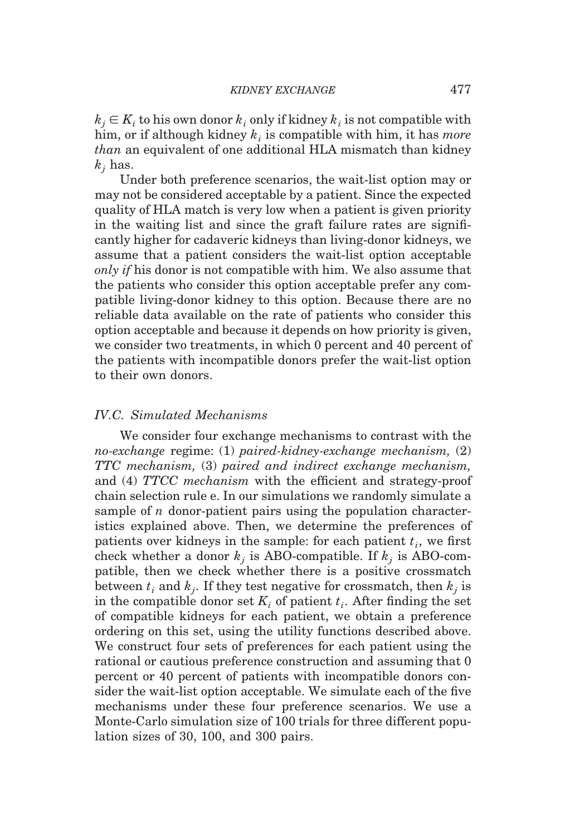$k_i \in K_i$  to his own donor  $k_i$  only if kidney  $k_i$  is not compatible with him, or if although kidney  $k_i$  is compatible with him, it has *more than* an equivalent of one additional HLA mismatch than kidney  $k_i$  has.

Under both preference scenarios, the wait-list option may or may not be considered acceptable by a patient. Since the expected quality of HLA match is very low when a patient is given priority in the waiting list and since the graft failure rates are significantly higher for cadaveric kidneys than living-donor kidneys, we assume that a patient considers the wait-list option acceptable *only if* his donor is not compatible with him. We also assume that the patients who consider this option acceptable prefer any compatible living-donor kidney to this option. Because there are no reliable data available on the rate of patients who consider this option acceptable and because it depends on how priority is given, we consider two treatments, in which 0 percent and 40 percent of the patients with incompatible donors prefer the wait-list option to their own donors.

### *IV.C. Simulated Mechanisms*

We consider four exchange mechanisms to contrast with the *no-exchange* regime: (1) *paired-kidney-exchange mechanism,* (2) *TTC mechanism,* (3) *paired and indirect exchange mechanism,* and (4) *TTCC mechanism* with the efficient and strategy-proof chain selection rule e. In our simulations we randomly simulate a sample of *n* donor-patient pairs using the population characteristics explained above. Then, we determine the preferences of patients over kidneys in the sample: for each patient  $t_i$ , we first check whether a donor  $k_j$  is ABO-compatible. If  $k_j$  is ABO-compatible, then we check whether there is a positive crossmatch between  $t_i$  and  $k_j$ . If they test negative for crossmatch, then  $k_j$  is in the compatible donor set  $K_i$  of patient  $t_i$ . After finding the set of compatible kidneys for each patient, we obtain a preference ordering on this set, using the utility functions described above. We construct four sets of preferences for each patient using the rational or cautious preference construction and assuming that 0 percent or 40 percent of patients with incompatible donors consider the wait-list option acceptable. We simulate each of the five mechanisms under these four preference scenarios. We use a Monte-Carlo simulation size of 100 trials for three different population sizes of 30, 100, and 300 pairs.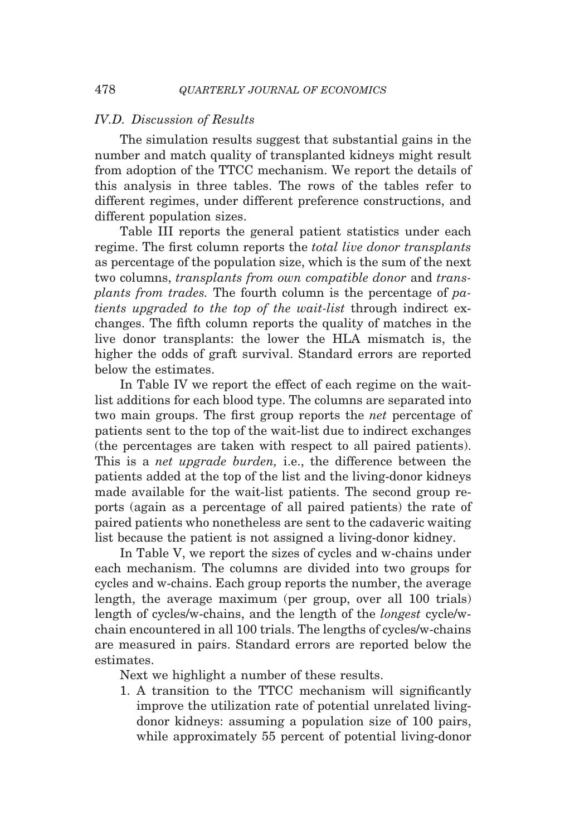### *IV.D. Discussion of Results*

The simulation results suggest that substantial gains in the number and match quality of transplanted kidneys might result from adoption of the TTCC mechanism. We report the details of this analysis in three tables. The rows of the tables refer to different regimes, under different preference constructions, and different population sizes.

Table III reports the general patient statistics under each regime. The first column reports the *total live donor transplants* as percentage of the population size, which is the sum of the next two columns, *transplants from own compatible donor* and *transplants from trades.* The fourth column is the percentage of *patients upgraded to the top of the wait-list* through indirect exchanges. The fifth column reports the quality of matches in the live donor transplants: the lower the HLA mismatch is, the higher the odds of graft survival. Standard errors are reported below the estimates.

In Table IV we report the effect of each regime on the waitlist additions for each blood type. The columns are separated into two main groups. The first group reports the *net* percentage of patients sent to the top of the wait-list due to indirect exchanges (the percentages are taken with respect to all paired patients). This is a *net upgrade burden,* i.e., the difference between the patients added at the top of the list and the living-donor kidneys made available for the wait-list patients. The second group reports (again as a percentage of all paired patients) the rate of paired patients who nonetheless are sent to the cadaveric waiting list because the patient is not assigned a living-donor kidney.

In Table V, we report the sizes of cycles and w-chains under each mechanism. The columns are divided into two groups for cycles and w-chains. Each group reports the number, the average length, the average maximum (per group, over all 100 trials) length of cycles/w-chains, and the length of the *longest* cycle/wchain encountered in all 100 trials. The lengths of cycles/w-chains are measured in pairs. Standard errors are reported below the estimates.

Next we highlight a number of these results.

1. A transition to the TTCC mechanism will significantly improve the utilization rate of potential unrelated livingdonor kidneys: assuming a population size of 100 pairs, while approximately 55 percent of potential living-donor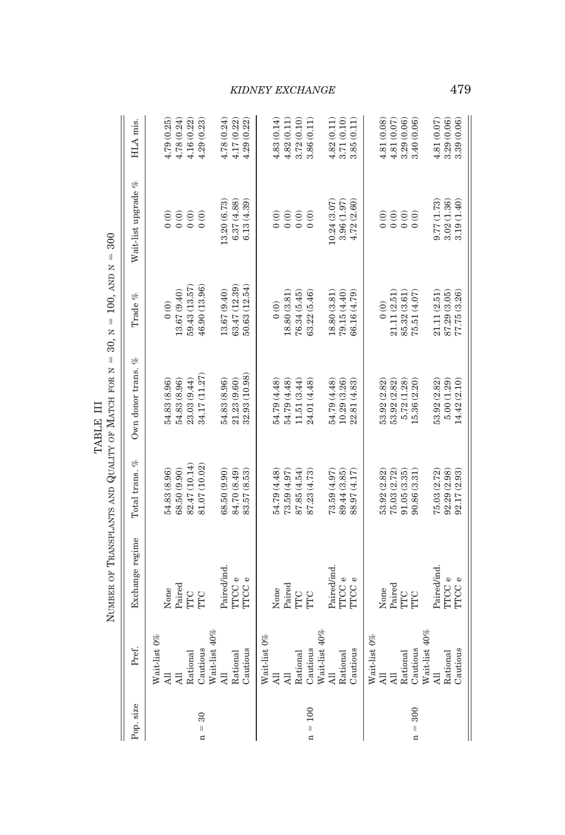|           |                  |                 |                   | NUMERE OF TRANSPLANTS AND QUALITY OF MATCH FOR $N = 30$ , $N = 100$ , and $N = 300$ |                                                                            |                                              |             |
|-----------|------------------|-----------------|-------------------|-------------------------------------------------------------------------------------|----------------------------------------------------------------------------|----------------------------------------------|-------------|
| Pop. size | Pref.            | Exchange regime | Total trans. $\%$ | of<br>Own donor trans.                                                              | Trade $% \mathcal{C}_{\mathrm{CL}}\left( \mathcal{C}_{\mathrm{CL}}\right)$ | Wait-list upgrade %                          | HLA mis.    |
|           | Wait-list 0%     |                 |                   |                                                                                     |                                                                            |                                              |             |
|           | E                | None            | 54.83 (8.96)      | 54.83 (8.96)                                                                        | $\begin{pmatrix} 0 \\ 0 \end{pmatrix}$                                     | $_{\odot}^{\odot}$                           | 4.79(0.25)  |
|           | $\overline{a}$   | Paired          | 38.50 (9.90)      | 54.83 (8.96)                                                                        | 13.67 (9.40)                                                               | $\circ$                                      | 4.78 (0.24) |
|           | Rational         | TTC             | 82.47 (10.14)     | 23.03 (9.44)                                                                        | 59.43 (13.57)                                                              | $\overline{0}$ (0)                           | 4.16(0.22)  |
| $n = 30$  | Cautious         | TTC             | 81.07 (10.02)     | 34.17 (11.27)                                                                       | 46.90 (13.96)                                                              | $\circ$                                      | 4.29(0.23)  |
|           | Wait-list 40%    |                 |                   |                                                                                     |                                                                            |                                              |             |
|           | Ę                | Paired/ind      | 68.50(9.90)       | 54.83 (8.96)                                                                        | 13.67 (9.40)                                                               | 13.20 (6.73)                                 | 4.78 (0.24) |
|           | Rational         | <b>TTCC</b> e   | 84.70 (8.49)      | 21.23 (9.60)                                                                        | 63.47 (12.39)                                                              | 6.37(4.88)                                   | 4.17 (0.22) |
|           | Cautious         | ITCC e          | 83.57 (8.53)      | 32.93 (10.98)                                                                       | 50.63 (12.54)                                                              | 6.13(4.39)                                   | 4.29(0.22)  |
|           | Wait-list $0\%$  |                 |                   |                                                                                     |                                                                            |                                              |             |
|           | E                | None            | 54.79 (4.48)      | 54.79 (4.48)                                                                        | 0(0)                                                                       | $\circ$                                      | 4.83(0.14)  |
|           | $\overline{a}$   | Paired          | 73.59(4.97)       | 54.79 (4.48)                                                                        | 18.80 (3.81)                                                               | (0)                                          | 4.82(0.11)  |
|           | Rational         | TTC             | 87.85 (4.54)      | 11.51 (3.44)                                                                        | 76.34 (5.45)                                                               | $0\ (0)$                                     | 3.72(0.10)  |
| $n = 100$ | Cautious         | TTC             | 87.23 (4.73)      | 24.01 (4.48)                                                                        | 63.22 (5.46)                                                               | (0)                                          | 3.86 (0.11) |
|           | Wait-list $40\%$ |                 |                   |                                                                                     |                                                                            |                                              |             |
|           |                  | Paired/ind      | 73.59 (4.97)      | 54.79 (4.48)                                                                        | 18.80 (3.81)                                                               | 10.24(3.07)                                  | 4.82(0.11)  |
|           | Rational         | PTCC e          | 89.44 (3.85)      | 10.29 (3.26)                                                                        | 79.15 (4.40)                                                               | 3.96(1.97)                                   | 3.71 (0.10) |
|           | Cautious         | <b>PTCC</b> e   | 88.97 (4.17)      | 22.81 (4.83)                                                                        | 66.16 (4.79)                                                               | 4.72(2.60)                                   | 3.85(0.11)  |
|           | Wait-list 0%     |                 |                   |                                                                                     |                                                                            |                                              |             |
|           | E                | None            | 53.92 (2.82)      | 53.92 (2.82)                                                                        | $\begin{matrix} 0 & 0 \\ 0 & 0 \end{matrix}$                               | $\circledcirc$                               | 4.81 (0.08) |
|           | All              | Paired          | 75.03 (2.72)      | 53.92 (2.82)                                                                        | 21.11 (2.51)                                                               |                                              | 4.81 (0.07) |
|           | Rational         | TTC             | 91.05 (3.35)      | 5.72 (1.28)                                                                         | 85.32 (3.61                                                                | $\begin{matrix} 0 & 0 \\ 0 & 0 \end{matrix}$ | 3.29(0.06)  |
| $n = 300$ | Cautious         | TTC             | 90.86(3.31)       | 15.36 (2.20)                                                                        | 75.51(4.07)                                                                | $\circ$                                      | 3.40(0.06)  |
|           | Wait-list 40%    |                 |                   |                                                                                     |                                                                            |                                              |             |
|           |                  | Paired/ind      | 75.03 (2.72)      | 53.92 (2.82)                                                                        | 21.11 (2.51)                                                               | 9.77(1.73)                                   | 4.81 (0.07) |
|           | Rational         | <b>TTCC</b> e   | 92.29 (2.98)      | 5.00(1.29)                                                                          | 87.29 (3.05)                                                               | 3.02(1.36)                                   | 3.29(0.06)  |
|           | Cautious         | TTCC e          | 92.17 (2.93)      | 14.42 (2.10)                                                                        | 77.75 (3.26)                                                               | 3.19 (1.40)                                  | 3.39(0.06)  |

J Ę  $100$  $\Omega$  $\begin{tabular}{ll} \bf{TABLE} & \tt III \\ \hline \end{tabular}$ TABLE III Ċ

*KIDNEY EXCHANGE* 479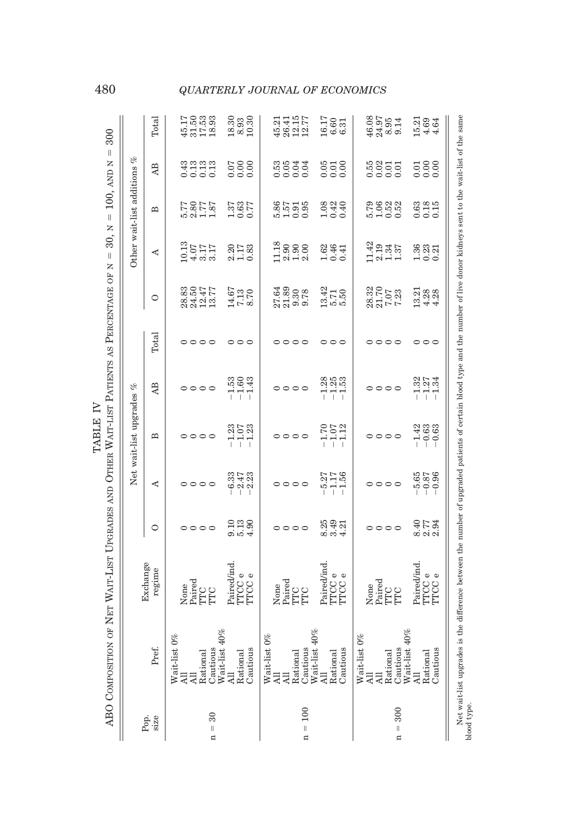|              | ABO COMPOSITION OF NET WAIT-LIST UPGRADES AND OTHER WAIT-LIST PATIENTS AS PERCENTAGE OF N = 30, N = 100, AND N = 300                                                          |                                 |                         |                               | TABLE IV                  |                               |                     |                                                      |                                                     |                                                     |                            |                                                      |
|--------------|-------------------------------------------------------------------------------------------------------------------------------------------------------------------------------|---------------------------------|-------------------------|-------------------------------|---------------------------|-------------------------------|---------------------|------------------------------------------------------|-----------------------------------------------------|-----------------------------------------------------|----------------------------|------------------------------------------------------|
|              |                                                                                                                                                                               |                                 |                         |                               | Net wait-list upgrades %  |                               |                     |                                                      |                                                     | Other wait-list additions %                         |                            |                                                      |
| Pop.<br>size | Pref.                                                                                                                                                                         | Exchange<br>regime              | $\circ$                 | ∢                             | $\mathbf{u}$              | AB                            | Total               | $\circ$                                              | 4                                                   | $\mathbf{u}$                                        | A <sub>B</sub>             | Total                                                |
| $n = 30$     | $\begin{array}{l} \text{Wait-list} \ 0\% \\ \text{All} \\ \text{All} \end{array}$<br>Cautious<br>Rational                                                                     | None<br>Paired<br>TTC<br>TTC    | 0000                    | $\circ \circ \circ \circ$     | 0000                      | $\circ \circ \circ \circ$     | 0000                | 28.547<br>24.477<br>22.13.13                         | 13<br>407<br>4517<br>3.17                           | 2022<br>2022<br>2022                                | 엮 <u>ฅฅฅ</u><br>○○○○       | $45.17$<br>$31.53$<br>$11.83$<br>$18.33$             |
|              | Wait-list 40%<br>Cautious<br>Rational<br>$\overline{a}$                                                                                                                       | Paired/ind.<br>TTCC e<br>TTCC e | 0.13<br>5.13<br>4.4     | $-6.33$<br>$-2.33$<br>$-1.1$  | $3353$<br>$-1.33$         | $-1.53$<br>$-1.60$<br>$-1.43$ | 000                 | $\begin{array}{c} 14.67 \\ 7.13 \\ 8.70 \end{array}$ | $2.17$<br>$1.13$<br>$0.83$                          | $\begin{array}{c} 1.37 \\ 0.63 \\ 0.77 \end{array}$ | 88.0<br>0.00               | $\frac{18.30}{8.93}$                                 |
| $n = 100$    | Wait-list 40%<br>$\begin{array}{l} \text{Wait-list} \ 0\% \\ \text{All} \\ \text{All} \end{array}$<br>Cautious<br>Rational                                                    | None<br>Paired<br>TTC<br>TTC    | 0000                    | $\circ \circ \circ \circ$     | $\circ \circ \circ \circ$ | $\circ \circ \circ \circ$     | 0000                | ರೆ.<br>ವಿಸ್ತಾಂ<br>ವಿಸ್ತಾಂ                            | $13000$<br>$13000$<br>$1400$                        | $857$<br>$0.59$<br>$0.09$<br>$0.09$                 | ន្លូង<br>ដូច្នូដូ<br>ទី១០០ | 45.21<br>26.415<br>12.77<br>12.77                    |
|              | Cautious<br>Rational<br>$\overline{a}$                                                                                                                                        | Paired/ind.<br>TTCC e<br>TTCC e | 8.34<br>8.421<br>4.21   | $-5.27$<br>$-1.17$<br>$-1.56$ | $-1.70$<br>$-1.12$        | $-1.28$<br>$-1.25$<br>$-1.53$ | 000                 | $13.42$<br>$5.71$<br>$5.50$                          | 1.62<br>0.45<br>0.41                                | $\begin{array}{c} 0.40 \\ 0.40 \\ 0.40 \end{array}$ | 858<br>000                 | $\begin{array}{c} 16.17 \\ 6.60 \\ 6.31 \end{array}$ |
| $n = 300$    | Wait-list 40%<br>$\begin{array}{l} \text{Wait-list} \ 0\% \\ \text{All} \\ \text{All} \end{array}$<br>Cautious<br>Rational                                                    | None<br>Paired<br>TTC<br>TTC    | 0000                    | $\circ \circ \circ \circ$     | 0000                      | $\circ \circ \circ \circ$     | 0000                | 28.32<br>21.70<br>7.07<br>7.23                       | $1.42$<br>$2.137$<br>$1.37$                         | 0<br>0000<br>0000                                   | និទ្ធ<br>ដូច្នុះ           | $46.97$<br>$43.95$<br>$9.14$<br>$9.9$                |
|              | Cautious<br>Rational<br>$\overline{a}$                                                                                                                                        | Paired/ind.<br>TTCC e<br>TTCC e | $2779$<br>$279$<br>$29$ | $-5.65$<br>$-0.87$<br>$-0.96$ | $-1.42$<br>$-0.63$        | $-1.32$<br>$-1.27$<br>$-1.34$ | $\circ \circ \circ$ | $\begin{array}{c} 13.21 \\ 4.28 \\ 4.28 \end{array}$ | $\begin{array}{c} 1.36 \\ 0.23 \\ 0.21 \end{array}$ | 0.63<br>0.15<br>0.0                                 | $\frac{588}{1000}$         | $15.21$<br>4.69<br>4.64                              |
| blood type.  | Net wait-list upgrades is the difference between the number of upgraded patients of certain blood type and the number of live donor kidneys sent to the wait-list of the same |                                 |                         |                               |                           |                               |                     |                                                      |                                                     |                                                     |                            |                                                      |

# 480 *QUARTERLY JOURNAL OF ECONOMICS*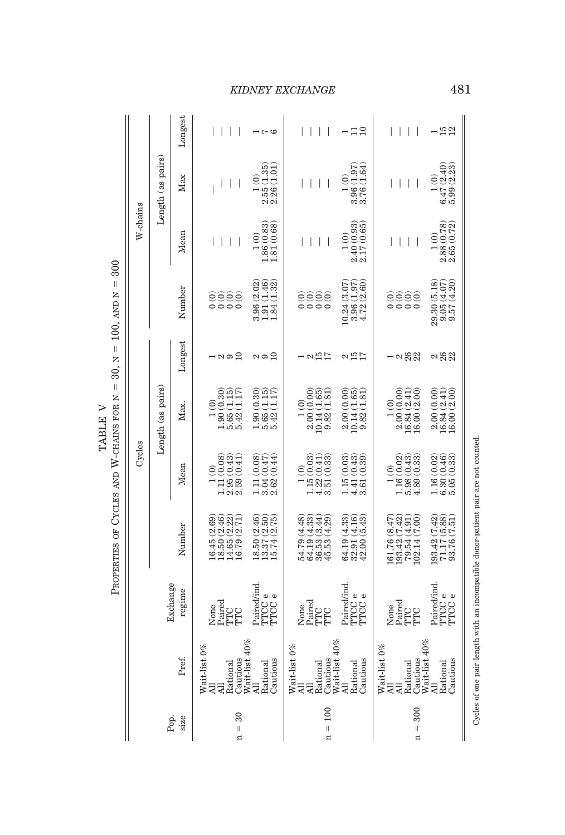|                                                                            |          |                   | Longest      | $\overline{\phantom{a}}$<br>I                                                                         | $\frac{1}{2}$                                                                     | $\overline{\phantom{a}}$<br>I<br>$\overline{\phantom{a}}$                           | $-12$                                                                           | $\overline{\phantom{a}}$<br>$\overline{\phantom{a}}$                                                | $-152$                                                                                |
|----------------------------------------------------------------------------|----------|-------------------|--------------|-------------------------------------------------------------------------------------------------------|-----------------------------------------------------------------------------------|-------------------------------------------------------------------------------------|---------------------------------------------------------------------------------|-----------------------------------------------------------------------------------------------------|---------------------------------------------------------------------------------------|
|                                                                            |          | Length (as pairs) | Max          | $\mathsf{I}$<br>$\overline{\phantom{a}}$<br>I                                                         | $\begin{array}{c} 1\ (0)\\ 2.55\ (1.35)\\ 2.26\ (1.01) \end{array}$               | $\overline{\phantom{a}}$<br>$\overline{1}$<br>1                                     | $\begin{array}{c} 1\ (0)\\ 3.96\ (1.97)\\ 3.76\ (1.64) \end{array}$             | $\overline{\phantom{a}}$<br>$\overline{\phantom{a}}$                                                | $\begin{array}{c} 1 \ (0) \\ 6.47 \ (2.40) \\ 5.99 \ (2.23) \end{array}$              |
| 300                                                                        | W-chains |                   | Mean         | $\overline{\phantom{a}}$<br>$\overline{\phantom{a}}$<br>$\overline{1}$                                | $\begin{array}{c} 1\ (0)\\ 1.86\ (0.83)\\ 1.81\ (0.68) \end{array}$               | $\overline{1}$<br>$\overline{1}$<br>1                                               | $\begin{array}{c} 1\ (0)\\ 2.40\ (0.93)\\ 2.17\ (0.65) \end{array}$             | $\overline{1}$<br>$\overline{\phantom{a}}$<br>$\overline{\phantom{a}}$                              | $\begin{array}{c} 1\ (0)\\ 2.88\ (0.78)\\ 2.65\ (0.72) \end{array}$                   |
| $= 100$ , AND N $=$                                                        |          |                   | Number       | 8888<br> <br>                                                                                         | $\begin{array}{c} 3.96 \; (2.02) \\ 1.91 \; (1.46) \\ 1.84 \; (1.32) \end{array}$ | 6666<br>0000                                                                        | $\begin{array}{c} 10.24 \ (3.07) \\ 3.96 \ (1.97) \\ 4.72 \ (2.60) \end{array}$ | 6666<br>0000                                                                                        | $\begin{array}{c} 29.30\ (5.18)\\ 9.05\ (4.07)\\ 9.57\ (4.20) \end{array}$            |
| 30, N<br>$\parallel$<br>PROPERTIES OF CYCLES AND W-CHAINS FOR N<br>TABLE V |          |                   | Longest      | ⊣ പ ചെ                                                                                                | $α$ ໑ $2$                                                                         | 125                                                                                 | $\frac{25}{12}$                                                                 | 1282                                                                                                | 282                                                                                   |
|                                                                            |          | Length (as pairs) | Max.         | $\begin{array}{c} 1.90\ (0.30) \\ 5.65\ (1.15) \end{array}$<br>5.42 (1.17)<br>$\widehat{\circ}$       | $\begin{array}{c} 1.90\ (0.30) \\ 5.65\ (1.15) \\ 5.42\ (1.17) \end{array}$       | 2.00(0.00)<br>10.14(1.65)<br>9.82 (1.81<br>1(0)                                     | $2.00(0.00)$<br>10.14 (1.65)<br>9.82(1.81)                                      | $\begin{array}{c} 2.00\ (0.00) \\ 16.84\ (2.41) \\ 16.00\ (2.00) \end{array}$<br>1(0)               | $\begin{array}{c} 2.00\ (0.00) \\ 16.84\ (2.41) \\ 16.00\ (2.00) \end{array}$         |
|                                                                            | Cycles   |                   | Mean         | $\begin{array}{c} 1.11\ (0.08) \\ 2.95\ (0.43) \\ 2.59\ (0.44) \end{array}$<br>$\widehat{\mathbf{e}}$ | $\begin{array}{c} 1.11\ (0.08)\\ 3.04\ (0.47)\\ 2.62\ (0.44) \end{array}$         | $\begin{array}{c} 1.15\ (0.03) \\ 4.22\ (0.41) \\ 3.51\ (0.33) \end{array}$<br>1(0) | $\begin{array}{c} 1.15\ (0.03) \\ 4.41\ (0.43) \\ 3.61\ (0.39) \end{array}$     | $\begin{array}{c} 1.16\ (0.02) \\ 5.98\ (0.43) \\ 4.89\ (0.33) \end{array}$<br>1(0)                 | $\begin{array}{c} 1.16\ (0.02)\\ 6.30\ (0.46)\\ 5.05\ (0.33)\end{array}$              |
|                                                                            |          |                   | Number       | $\begin{array}{c} 18.50\ (2.46)\\ 14.65\ (2.22)\\ 16.79\ (2.71)\end{array}$<br>16.45(2.69)            | $\begin{array}{c} 18.50 \ (2.46) \\ 13.37 \ (2.50) \\ 15.74 \ (2.75) \end{array}$ | 54.79 (4.48)<br>64.19 (4.33)<br>36.53 (3.44)<br>45.53 (4.29)                        | $\begin{array}{c} 64.19 & (4.33) \\ 32.91 & (4.16) \end{array}$<br>42.00(5.43)  | $\begin{array}{c} 161.76\, (8.47)\\ 193.42\, (7.42)\\ 79.54\, (4.91)\\ 102.14\, (7.00) \end{array}$ | $\begin{array}{c} 193.42 \, (7.42) \\ 71.17 \, (5.88) \\ 93.76 \, (7.51) \end{array}$ |
|                                                                            |          | Exchange          | regime       | Paired<br>None<br><b>TTC</b><br>TTC                                                                   | Paired/ind<br><b>TTCC</b> e                                                       | Paired<br>None<br>TTC<br><b>PLC</b>                                                 | Paired/ind<br>TTCC e<br>TTCC e                                                  | Paired<br>None<br>TTC<br>TTC                                                                        | Paired/ind<br>TTCC e<br>TTCC e                                                        |
|                                                                            |          |                   | Pref.        | Wait-list $0\%$<br>Cautious<br>Rational<br>$\overline{a}$<br>₹                                        | Wait-list 40%<br>Cautious<br>Rational                                             | Wait-list 40%<br>Wait-list 0%<br>Cautious<br>Rational<br>$\overline{a}$<br>Ę        | Cautious<br>Rational                                                            | Wait-list 40%<br>Wait-list $0\%$<br>Cautious<br>Rational<br>$\overline{a}$<br>티                     | Cautious<br>Rational                                                                  |
|                                                                            |          |                   | Pop.<br>size | $30\,$<br>$\parallel$<br>$\mathbf{a}$                                                                 |                                                                                   | $= 100$<br>$\overline{a}$                                                           |                                                                                 | 300<br>$\parallel$<br>$\mathbf{a}$                                                                  |                                                                                       |

*KIDNEY EXCHANGE* 481

Cycles of one pair length with an incompatible donor-patient pair are not counted.

Cycles of one pair length with an incompatible donor-patient pair are not counted.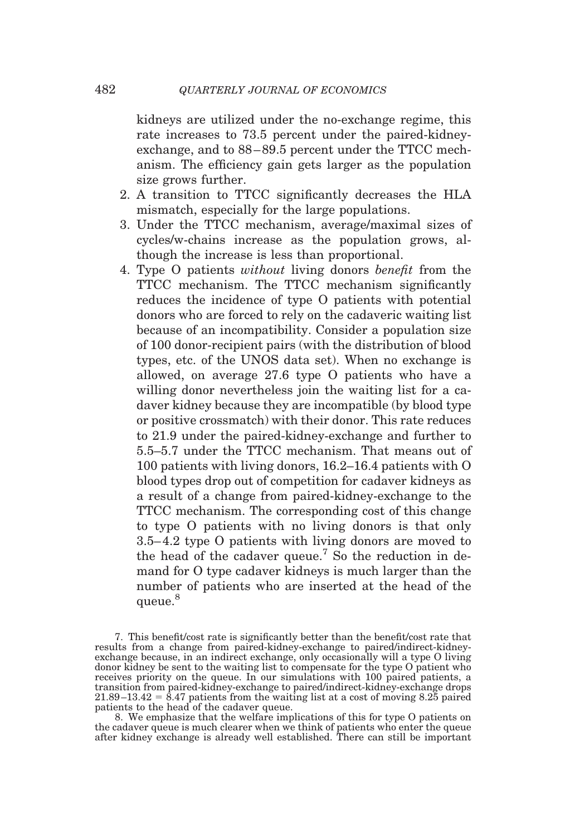kidneys are utilized under the no-exchange regime, this rate increases to 73.5 percent under the paired-kidneyexchange, and to 88–89.5 percent under the TTCC mechanism. The efficiency gain gets larger as the population size grows further.

- 2. A transition to TTCC significantly decreases the HLA mismatch, especially for the large populations.
- 3. Under the TTCC mechanism, average/maximal sizes of cycles/w-chains increase as the population grows, although the increase is less than proportional.
- 4. Type O patients *without* living donors *benefit* from the TTCC mechanism. The TTCC mechanism significantly reduces the incidence of type O patients with potential donors who are forced to rely on the cadaveric waiting list because of an incompatibility. Consider a population size of 100 donor-recipient pairs (with the distribution of blood types, etc. of the UNOS data set). When no exchange is allowed, on average 27.6 type O patients who have a willing donor nevertheless join the waiting list for a cadaver kidney because they are incompatible (by blood type or positive crossmatch) with their donor. This rate reduces to 21.9 under the paired-kidney-exchange and further to 5.5–5.7 under the TTCC mechanism. That means out of 100 patients with living donors, 16.2–16.4 patients with O blood types drop out of competition for cadaver kidneys as a result of a change from paired-kidney-exchange to the TTCC mechanism. The corresponding cost of this change to type O patients with no living donors is that only 3.5–4.2 type O patients with living donors are moved to the head of the cadaver queue.<sup>7</sup> So the reduction in demand for O type cadaver kidneys is much larger than the number of patients who are inserted at the head of the queue.<sup>8</sup>

7. This benefit/cost rate is significantly better than the benefit/cost rate that results from a change from paired-kidney-exchange to paired/indirect-kidneyexchange because, in an indirect exchange, only occasionally will a type O living donor kidney be sent to the waiting list to compensate for the type O patient who<br>receives priority on the queue. In our simulations with 100 paired patients, a<br>transition from paired-kidney-exchange to paired/indirect-kid  $21.89-13.42 = 8.47$  patients from the waiting list at a cost of moving 8.25 paired patients to the head of the cadaver queue.

8. We emphasize that the welfare implications of this for type O patients on the cadaver queue is much clearer when we think of patients who enter the queue after kidney exchange is already well established. There can still be important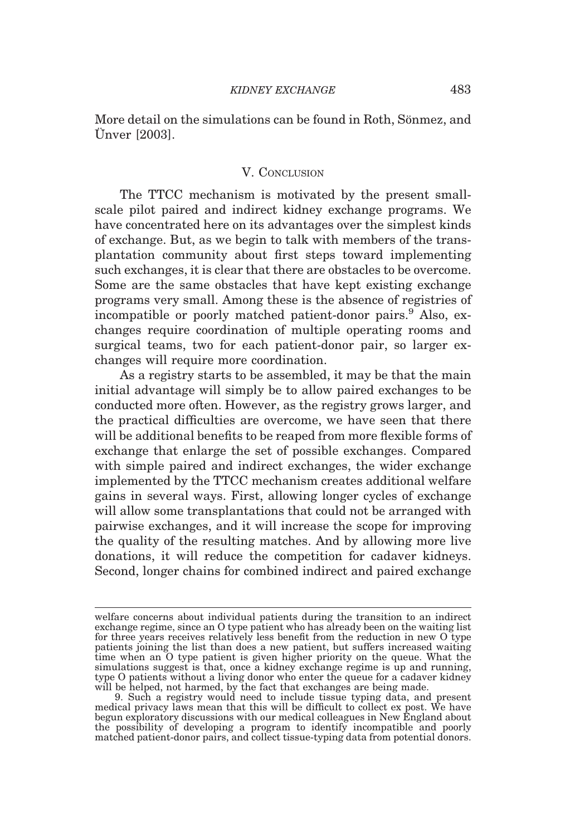More detail on the simulations can be found in Roth, Sönmez, and  $Unver$  [2003].

## V. CONCLUSION

The TTCC mechanism is motivated by the present smallscale pilot paired and indirect kidney exchange programs. We have concentrated here on its advantages over the simplest kinds of exchange. But, as we begin to talk with members of the transplantation community about first steps toward implementing such exchanges, it is clear that there are obstacles to be overcome. Some are the same obstacles that have kept existing exchange programs very small. Among these is the absence of registries of incompatible or poorly matched patient-donor pairs.<sup>9</sup> Also, exchanges require coordination of multiple operating rooms and surgical teams, two for each patient-donor pair, so larger exchanges will require more coordination.

As a registry starts to be assembled, it may be that the main initial advantage will simply be to allow paired exchanges to be conducted more often. However, as the registry grows larger, and the practical difficulties are overcome, we have seen that there will be additional benefits to be reaped from more flexible forms of exchange that enlarge the set of possible exchanges. Compared with simple paired and indirect exchanges, the wider exchange implemented by the TTCC mechanism creates additional welfare gains in several ways. First, allowing longer cycles of exchange will allow some transplantations that could not be arranged with pairwise exchanges, and it will increase the scope for improving the quality of the resulting matches. And by allowing more live donations, it will reduce the competition for cadaver kidneys. Second, longer chains for combined indirect and paired exchange

welfare concerns about individual patients during the transition to an indirect exchange regime, since an O type patient who has already been on the waiting list for three years receives relatively less benefit from the reduction in new O type patients joining the list than does a new patient, but suffers increased waiting time when an O type patient is given higher priority on the queue. What the simulations suggest is that, once a kidney exchange regime is up and running,<br>type O patients without a living donor who enter the queue for a cadaver kidney<br>will be helped, not harmed, by the fact that exchanges are being

<sup>9.</sup> Such a registry would need to include tissue typing data, and present medical privacy laws mean that this will be difficult to collect ex post. We have begun exploratory discussions with our medical colleagues in New England about the possibility of developing a program to identify incompatible and poorly matched patient-donor pairs, and collect tissue-typing data from potential donors.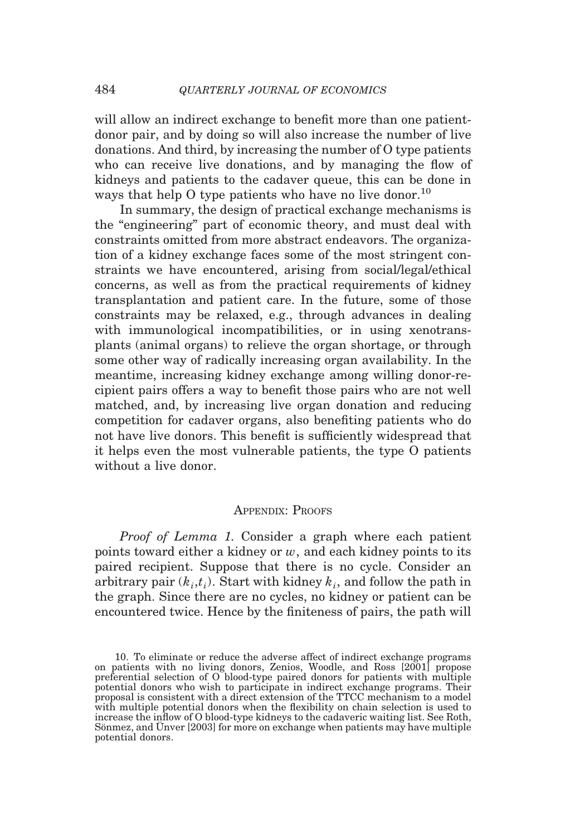will allow an indirect exchange to benefit more than one patientdonor pair, and by doing so will also increase the number of live donations. And third, by increasing the number of O type patients who can receive live donations, and by managing the flow of kidneys and patients to the cadaver queue, this can be done in ways that help O type patients who have no live donor.<sup>10</sup>

In summary, the design of practical exchange mechanisms is the "engineering" part of economic theory, and must deal with constraints omitted from more abstract endeavors. The organization of a kidney exchange faces some of the most stringent constraints we have encountered, arising from social/legal/ethical concerns, as well as from the practical requirements of kidney transplantation and patient care. In the future, some of those constraints may be relaxed, e.g., through advances in dealing with immunological incompatibilities, or in using xenotransplants (animal organs) to relieve the organ shortage, or through some other way of radically increasing organ availability. In the meantime, increasing kidney exchange among willing donor-recipient pairs offers a way to benefit those pairs who are not well matched, and, by increasing live organ donation and reducing competition for cadaver organs, also benefiting patients who do not have live donors. This benefit is sufficiently widespread that it helps even the most vulnerable patients, the type O patients without a live donor.

# APPENDIX: PROOFS

*Proof of Lemma 1.* Consider a graph where each patient points toward either a kidney or *w*, and each kidney points to its paired recipient. Suppose that there is no cycle. Consider an arbitrary pair  $(k_i,t_i)$ . Start with kidney  $k_i$ , and follow the path in the graph. Since there are no cycles, no kidney or patient can be encountered twice. Hence by the finiteness of pairs, the path will

<sup>10.</sup> To eliminate or reduce the adverse affect of indirect exchange programs on patients with no living donors, Zenios, Woodle, and Ross [2001] propose<br>preferential selection of O blood-type paired donors for patients with multiple<br>potential donors who wish to participate in indirect exchange progr proposal is consistent with a direct extension of the TTCC mechanism to a model with multiple potential donors when the flexibility on chain selection is used to increase the inflow of O blood-type kidneys to the cadaveric waiting list. See Roth, Sönmez, and Unver [2003] for more on exchange when patients may have multiple potential donors.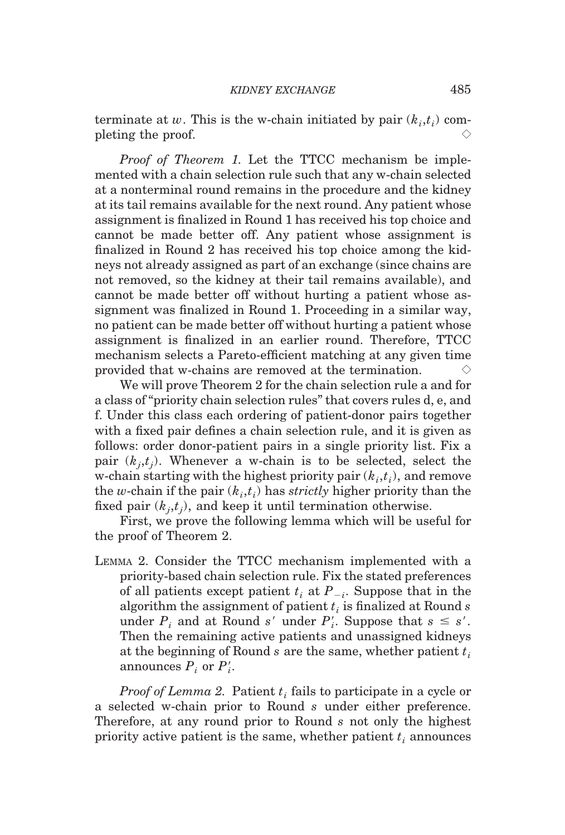terminate at  $w$ . This is the w-chain initiated by pair  $(k_i, t_i)$  completing the proof.

*Proof of Theorem 1.* Let the TTCC mechanism be implemented with a chain selection rule such that any w-chain selected at a nonterminal round remains in the procedure and the kidney at its tail remains available for the next round. Any patient whose assignment is finalized in Round 1 has received his top choice and cannot be made better off. Any patient whose assignment is finalized in Round 2 has received his top choice among the kidneys not already assigned as part of an exchange (since chains are not removed, so the kidney at their tail remains available), and cannot be made better off without hurting a patient whose assignment was finalized in Round 1. Proceeding in a similar way, no patient can be made better off without hurting a patient whose assignment is finalized in an earlier round. Therefore, TTCC mechanism selects a Pareto-efficient matching at any given time provided that w-chains are removed at the termination. {

We will prove Theorem 2 for the chain selection rule a and for a class of "priority chain selection rules" that covers rules d, e, and f. Under this class each ordering of patient-donor pairs together with a fixed pair defines a chain selection rule, and it is given as follows: order donor-patient pairs in a single priority list. Fix a pair  $(k_i,t_i)$ . Whenever a w-chain is to be selected, select the w-chain starting with the highest priority pair  $(k_i, t_i)$ , and remove the *w*-chain if the pair  $(k_i, t_i)$  has *strictly* higher priority than the fixed pair  $(k_i, t_i)$ , and keep it until termination otherwise.

First, we prove the following lemma which will be useful for the proof of Theorem 2.

LEMMA 2. Consider the TTCC mechanism implemented with a priority-based chain selection rule. Fix the stated preferences of all patients except patient  $t_i$  at  $P_{i}$ . Suppose that in the algorithm the assignment of patient  $t_i$  is finalized at Round  $s$ under  $P_i$  and at Round *s*<sup> $\prime$ </sup> under  $P_i'$ . Suppose that  $s \leq s'$ . Then the remaining active patients and unassigned kidneys at the beginning of Round *s* are the same, whether patient *ti* announces  $P_i$  or  $P'_i$ .

*Proof of Lemma 2.* Patient  $t_i$  fails to participate in a cycle or a selected w-chain prior to Round *s* under either preference. Therefore, at any round prior to Round *s* not only the highest priority active patient is the same, whether patient  $t_i$  announces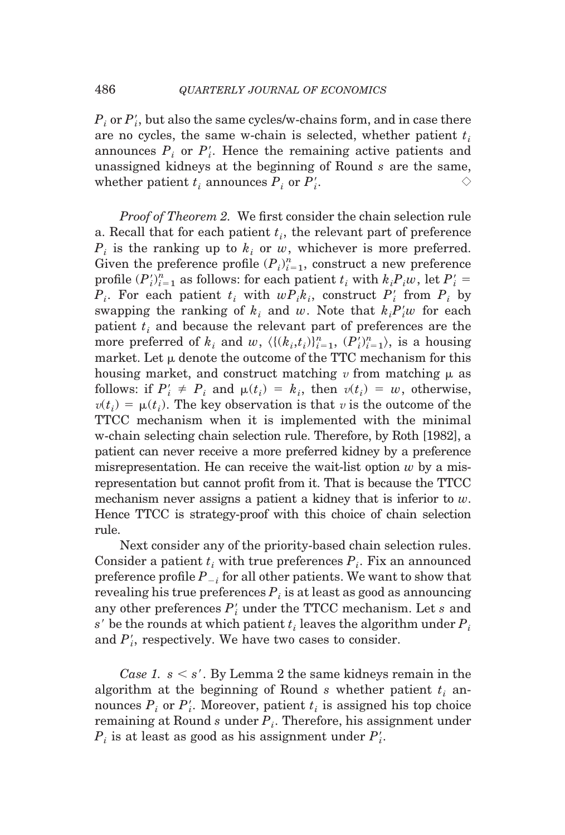$P_i$  or  $P'_i$ , but also the same cycles/w-chains form, and in case there are no cycles, the same w-chain is selected, whether patient *ti* announces  $P_i$  or  $P'_i$ . Hence the remaining active patients and unassigned kidneys at the beginning of Round *s* are the same, whether patient  $t_i$  announces  $P_i$  or  $P'_i$ .  $\alpha$ *i*.

*Proof of Theorem 2.* We first consider the chain selection rule a. Recall that for each patient  $t_i$ , the relevant part of preference  $P_i$  is the ranking up to  $k_i$  or  $w$ , whichever is more preferred. Given the preference profile  $(P_i)_{i=1}^n$ , construct a new preference profile  $(P_i')_{i=1}^n$  as follows: for each patient  $t_i$  with  $k_i P_i w$ , let  $P'_i =$  $P_i$ . For each patient  $t_i$  with  $wP_i k_i$ , construct  $P'_i$  from  $P_i$  by swapping the ranking of  $k_i$  and  $w$ . Note that  $k_i P'_i w$  for each patient  $t_i$  and because the relevant part of preferences are the more preferred of  $k_i$  and  $w$ ,  $\langle \{(k_i, t_i)\}_{i=1}^n$ ,  $(P'_i)_{i=1}^n \rangle$ , is a housing market. Let  $\mu$  denote the outcome of the TTC mechanism for this housing market, and construct matching  $\nu$  from matching  $\mu$  as follows: if  $P'_i \neq P_i$  and  $\mu(t_i) = k_i$ , then  $v(t_i) = w$ , otherwise,  $v(t_i) = \mu(t_i)$ . The key observation is that *v* is the outcome of the TTCC mechanism when it is implemented with the minimal w-chain selecting chain selection rule. Therefore, by Roth [1982], a patient can never receive a more preferred kidney by a preference misrepresentation. He can receive the wait-list option *w* by a misrepresentation but cannot profit from it. That is because the TTCC mechanism never assigns a patient a kidney that is inferior to *w*. Hence TTCC is strategy-proof with this choice of chain selection rule.

Next consider any of the priority-based chain selection rules. Consider a patient  $t_i$ , with true preferences  $P_i$ . Fix an announced preference profile  $P_{i}$  for all other patients. We want to show that revealing his true preferences  $P_i$  is at least as good as announcing any other preferences *P*-*<sup>i</sup>* under the TTCC mechanism. Let *s* and  $s'$  be the rounds at which patient  $t_i$  leaves the algorithm under  $P_i$ and  $P_i'$ , respectively. We have two cases to consider.

*Case 1.*  $s < s'$ . By Lemma 2 the same kidneys remain in the algorithm at the beginning of Round  $s$  whether patient  $t_i$  announces  $P_i$  or  $P'_i$ . Moreover, patient  $t_i$  is assigned his top choice remaining at Round *s* under *Pi*. Therefore, his assignment under  $P_i$  is at least as good as his assignment under  $P'_i$ .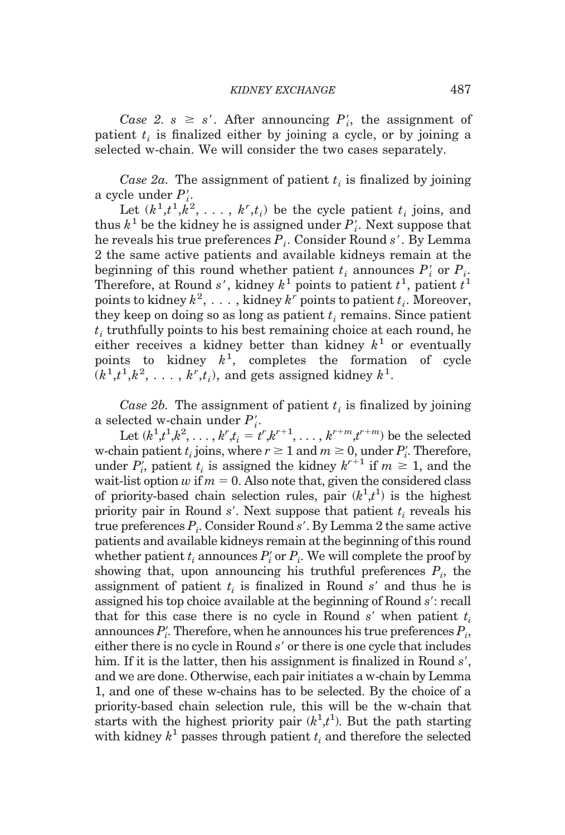*Case 2. s*  $\geq$  *s'*. After announcing *P<sub>i</sub>*, the assignment of patient  $t_i$  is finalized either by joining a cycle, or by joining a selected w-chain. We will consider the two cases separately.

*Case 2a.* The assignment of patient  $t_i$  is finalized by joining a cycle under  $P_i'$ .

Let  $(k^1, t^1, k^2, \ldots, k^r, t_i)$  be the cycle patient  $t_i$  joins, and thus  $k^1$  be the kidney he is assigned under  $P_i'$ . Next suppose that he reveals his true preferences *Pi*. Consider Round *s*-. By Lemma 2 the same active patients and available kidneys remain at the beginning of this round whether patient  $t_i$  announces  $P'_i$  or  $P_i$ . Therefore, at Round *s'*, kidney  $k^1$  points to patient  $t^1$ , patient  $t^1$ points to kidney  $k^2$ , ..., kidney  $k^r$  points to patient  $t_i$ . Moreover, they keep on doing so as long as patient  $t_i$  remains. Since patient  $t_i$  truthfully points to his best remaining choice at each round, he either receives a kidney better than kidney  $k<sup>1</sup>$  or eventually points to kidney  $k<sup>1</sup>$ , completes the formation of cycle  $(k<sup>1</sup>, t<sup>1</sup>, k<sup>2</sup>, ..., k<sup>r</sup>, t<sub>i</sub>),$  and gets assigned kidney  $k<sup>1</sup>$ .

*Case 2b.* The assignment of patient  $t_i$  is finalized by joining a selected w-chain under  $P_i'$ .

Let  $(k^1, t^1, k^2, \ldots, k^r, t_i = t^r, k^{r+1}, \ldots, k^{r+m}, t^{r+m})$  be the selected w-chain patient  $t_i$  joins, where  $r \ge 1$  and  $m \ge 0$ , under  $P'_i$ . Therefore, under  $P_i'$ , patient  $t_i$  is assigned the kidney  $k^{r+1}$  if  $m \ge 1$ , and the wait-list option  $w$  if  $m = 0$ . Also note that, given the considered class of priority-based chain selection rules, pair  $(k<sup>1</sup>, t<sup>1</sup>)$  is the highest priority pair in Round *s'*. Next suppose that patient  $t_i$  reveals his true preferences *Pi* . Consider Round *s*-. By Lemma 2 the same active patients and available kidneys remain at the beginning of this round whether patient  $t_i$  announces  $P'_i$  or  $P_i$ . We will complete the proof by showing that, upon announcing his truthful preferences  $P_i$ , the assignment of patient  $t_i$  is finalized in Round  $s'$  and thus he is assigned his top choice available at the beginning of Round *s'*: recall that for this case there is no cycle in Round  $s'$  when patient  $t_i$ announces  $P_i'$ . Therefore, when he announces his true preferences  $P_i$ , either there is no cycle in Round *s'* or there is one cycle that includes him. If it is the latter, then his assignment is finalized in Round *s'*, and we are done. Otherwise, each pair initiates a w-chain by Lemma 1, and one of these w-chains has to be selected. By the choice of a priority-based chain selection rule, this will be the w-chain that starts with the highest priority pair  $(k^1, t^1)$ . But the path starting with kidney  $k^1$  passes through patient  $t_i$  and therefore the selected